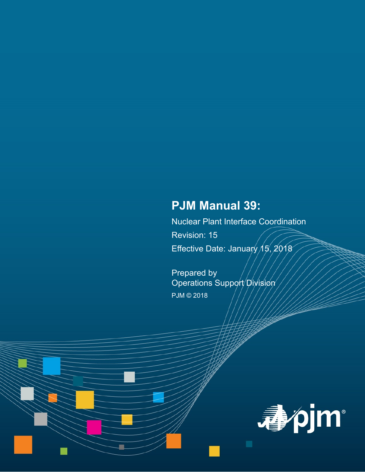# **PJM Manual 39:**

Nuclear Plant Interface Coordination Revision: 15 Effective Date: January  $15,2018$ 

Prepared by Operations Support Division PJM © 2018

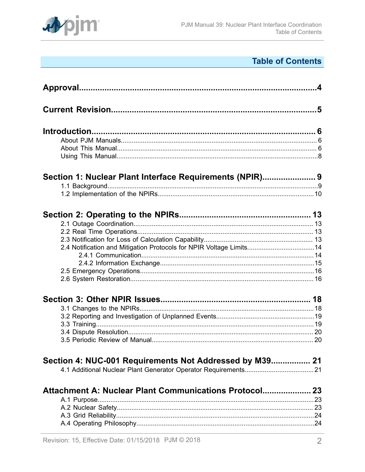

# **Table of Contents**

|                                                                     | $\mathbf{A}$ |
|---------------------------------------------------------------------|--------------|
|                                                                     |              |
|                                                                     |              |
|                                                                     |              |
|                                                                     |              |
|                                                                     |              |
|                                                                     |              |
| Section 1: Nuclear Plant Interface Requirements (NPIR) 9            |              |
|                                                                     |              |
|                                                                     |              |
|                                                                     |              |
|                                                                     |              |
|                                                                     |              |
|                                                                     |              |
| 2.4 Notification and Mitigation Protocols for NPIR Voltage Limits14 |              |
|                                                                     |              |
|                                                                     |              |
|                                                                     |              |
|                                                                     |              |
|                                                                     |              |
|                                                                     |              |
|                                                                     |              |
|                                                                     |              |
|                                                                     |              |
|                                                                     |              |
| Section 4: NUC-001 Requirements Not Addressed by M39 21             |              |
|                                                                     |              |
| Attachment A: Nuclear Plant Communications Protocol 23              |              |
|                                                                     | 23           |
|                                                                     |              |
|                                                                     |              |
|                                                                     |              |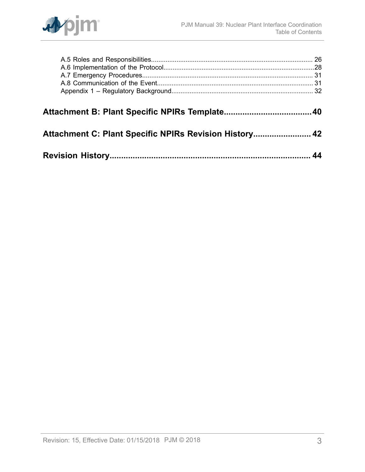

| Attachment C: Plant Specific NPIRs Revision History 42 |  |
|--------------------------------------------------------|--|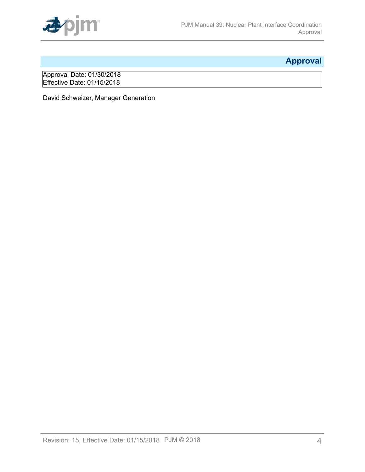

# <span id="page-3-0"></span>**Approval**

Approval Date: 01/30/2018 Effective Date: 01/15/2018

David Schweizer, Manager Generation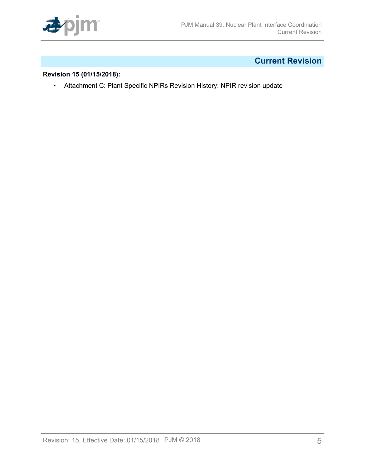

# <span id="page-4-0"></span>**Current Revision**

## **Revision 15 (01/15/2018):**

• Attachment C: Plant Specific NPIRs Revision History: NPIR revision update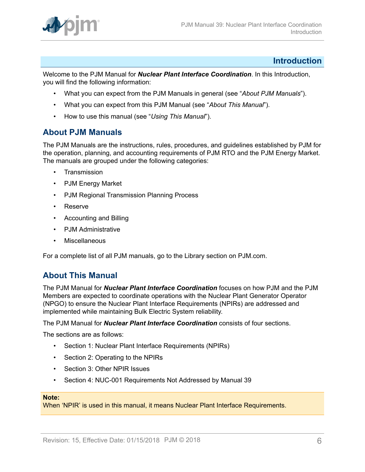

## <span id="page-5-0"></span>**Introduction**

Welcome to the PJM Manual for *Nuclear Plant Interface Coordination*. In this Introduction, you will find the following information:

- What you can expect from the PJM Manuals in general (see "*About PJM Manuals*").
- What you can expect from this PJM Manual (see "*About This Manual*").
- How to use this manual (see "*Using This Manual*").

## <span id="page-5-1"></span>**About PJM Manuals**

The PJM Manuals are the instructions, rules, procedures, and guidelines established by PJM for the operation, planning, and accounting requirements of PJM RTO and the PJM Energy Market. The manuals are grouped under the following categories:

- **Transmission**
- PJM Energy Market
- PJM Regional Transmission Planning Process
- Reserve
- Accounting and Billing
- PJM Administrative
- **Miscellaneous**

For a complete list of all PJM manuals, go to the Library section on PJM.com.

## <span id="page-5-2"></span>**About This Manual**

The PJM Manual for *Nuclear Plant Interface Coordination* focuses on how PJM and the PJM Members are expected to coordinate operations with the Nuclear Plant Generator Operator (NPGO) to ensure the Nuclear Plant Interface Requirements (NPIRs) are addressed and implemented while maintaining Bulk Electric System reliability.

The PJM Manual for *Nuclear Plant Interface Coordination* consists of four sections.

The sections are as follows:

- Section 1: Nuclear Plant Interface Requirements (NPIRs)
- Section 2: Operating to the NPIRs
- Section 3: Other NPIR Issues
- Section 4: NUC-001 Requirements Not Addressed by Manual 39

#### **Note:**

When 'NPIR' is used in this manual, it means Nuclear Plant Interface Requirements.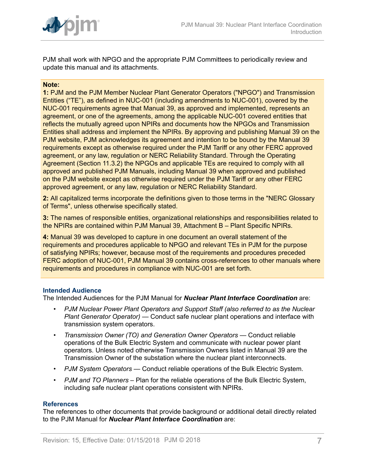

PJM shall work with NPGO and the appropriate PJM Committees to periodically review and update this manual and its attachments.

#### **Note:**

**1:** PJM and the PJM Member Nuclear Plant Generator Operators ("NPGO") and Transmission Entities ("TE"), as defined in NUC-001 (including amendments to NUC-001), covered by the NUC-001 requirements agree that Manual 39, as approved and implemented, represents an agreement, or one of the agreements, among the applicable NUC-001 covered entities that reflects the mutually agreed upon NPIRs and documents how the NPGOs and Transmission Entities shall address and implement the NPIRs. By approving and publishing Manual 39 on the PJM website, PJM acknowledges its agreement and intention to be bound by the Manual 39 requirements except as otherwise required under the PJM Tariff or any other FERC approved agreement, or any law, regulation or NERC Reliability Standard. Through the Operating Agreement (Section 11.3.2) the NPGOs and applicable TEs are required to comply with all approved and published PJM Manuals, including Manual 39 when approved and published on the PJM website except as otherwise required under the PJM Tariff or any other FERC approved agreement, or any law, regulation or NERC Reliability Standard.

**2:** All capitalized terms incorporate the definitions given to those terms in the "NERC Glossary of Terms", unless otherwise specifically stated.

**3:** The names of responsible entities, organizational relationships and responsibilities related to the NPIRs are contained within PJM Manual 39, Attachment B – Plant Specific NPIRs.

**4:** Manual 39 was developed to capture in one document an overall statement of the requirements and procedures applicable to NPGO and relevant TEs in PJM for the purpose of satisfying NPIRs; however, because most of the requirements and procedures preceded FERC adoption of NUC-001, PJM Manual 39 contains cross-references to other manuals where requirements and procedures in compliance with NUC-001 are set forth.

#### **Intended Audience**

The Intended Audiences for the PJM Manual for *Nuclear Plant Interface Coordination* are:

- *PJM Nuclear Power Plant Operators and Support Staff (also referred to as the Nuclear Plant Generator Operator)* — Conduct safe nuclear plant operations and interface with transmission system operators.
- *Transmission Owner (TO) and Generation Owner Operators* Conduct reliable operations of the Bulk Electric System and communicate with nuclear power plant operators. Unless noted otherwise Transmission Owners listed in Manual 39 are the Transmission Owner of the substation where the nuclear plant interconnects.
- *PJM System Operators* Conduct reliable operations of the Bulk Electric System.
- *PJM and TO Planners* Plan for the reliable operations of the Bulk Electric System, including safe nuclear plant operations consistent with NPIRs.

#### **References**

The references to other documents that provide background or additional detail directly related to the PJM Manual for *Nuclear Plant Interface Coordination* are: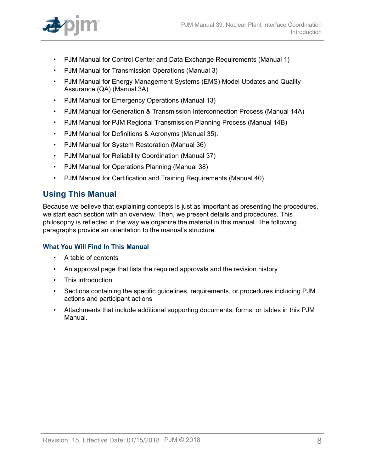

- PJM Manual for Control Center and Data Exchange Requirements (Manual 1)
- PJM Manual for Transmission Operations (Manual 3)
- PJM Manual for Energy Management Systems (EMS) Model Updates and Quality Assurance (QA) (Manual 3A)
- PJM Manual for Emergency Operations (Manual 13)
- PJM Manual for Generation & Transmission Interconnection Process (Manual 14A)
- PJM Manual for PJM Regional Transmission Planning Process (Manual 14B)
- PJM Manual for Definitions & Acronyms (Manual 35).
- PJM Manual for System Restoration (Manual 36)
- PJM Manual for Reliability Coordination (Manual 37)
- PJM Manual for Operations Planning (Manual 38)
- PJM Manual for Certification and Training Requirements (Manual 40)

## <span id="page-7-0"></span>**Using This Manual**

Because we believe that explaining concepts is just as important as presenting the procedures, we start each section with an overview. Then, we present details and procedures. This philosophy is reflected in the way we organize the material in this manual. The following paragraphs provide an orientation to the manual's structure.

## **What You Will Find In This Manual**

- A table of contents
- An approval page that lists the required approvals and the revision history
- This introduction
- Sections containing the specific guidelines, requirements, or procedures including PJM actions and participant actions
- Attachments that include additional supporting documents, forms, or tables in this PJM Manual.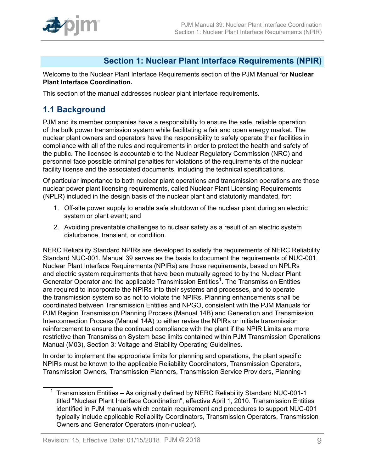

## <span id="page-8-0"></span>**Section 1: Nuclear Plant Interface Requirements (NPIR)**

Welcome to the Nuclear Plant Interface Requirements section of the PJM Manual for **Nuclear Plant Interface Coordination.**

This section of the manual addresses nuclear plant interface requirements.

## <span id="page-8-1"></span>**1.1 Background**

PJM and its member companies have a responsibility to ensure the safe, reliable operation of the bulk power transmission system while facilitating a fair and open energy market. The nuclear plant owners and operators have the responsibility to safely operate their facilities in compliance with all of the rules and requirements in order to protect the health and safety of the public. The licensee is accountable to the Nuclear Regulatory Commission (NRC) and personnel face possible criminal penalties for violations of the requirements of the nuclear facility license and the associated documents, including the technical specifications.

Of particular importance to both nuclear plant operations and transmission operations are those nuclear power plant licensing requirements, called Nuclear Plant Licensing Requirements (NPLR) included in the design basis of the nuclear plant and statutorily mandated, for:

- 1. Off-site power supply to enable safe shutdown of the nuclear plant during an electric system or plant event; and
- 2. Avoiding preventable challenges to nuclear safety as a result of an electric system disturbance, transient, or condition.

NERC Reliability Standard NPIRs are developed to satisfy the requirements of NERC Reliability Standard NUC-001. Manual 39 serves as the basis to document the requirements of NUC-001. Nuclear Plant Interface Requirements (NPIRs) are those requirements, based on NPLRs and electric system requirements that have been mutually agreed to by the Nuclear Plant Generator Operator and the applicable Transmission Entities<sup>1</sup>. The Transmission Entities are required to incorporate the NPIRs into their systems and processes, and to operate the transmission system so as not to violate the NPIRs. Planning enhancements shall be coordinated between Transmission Entities and NPGO, consistent with the PJM Manuals for PJM Region Transmission Planning Process (Manual 14B) and Generation and Transmission Interconnection Process (Manual 14A) to either revise the NPIRs or initiate transmission reinforcement to ensure the continued compliance with the plant if the NPIR Limits are more restrictive than Transmission System base limits contained within PJM Transmission Operations Manual (M03), Section 3: Voltage and Stability Operating Guidelines.

In order to implement the appropriate limits for planning and operations, the plant specific NPIRs must be known to the applicable Reliability Coordinators, Transmission Operators, Transmission Owners, Transmission Planners, Transmission Service Providers, Planning

<sup>&</sup>lt;sup>1</sup> Transmission Entities – As originally defined by NERC Reliability Standard NUC-001-1 titled "Nuclear Plant Interface Coordination", effective April 1, 2010. Transmission Entities identified in PJM manuals which contain requirement and procedures to support NUC-001 typically include applicable Reliability Coordinators, Transmission Operators, Transmission Owners and Generator Operators (non-nuclear).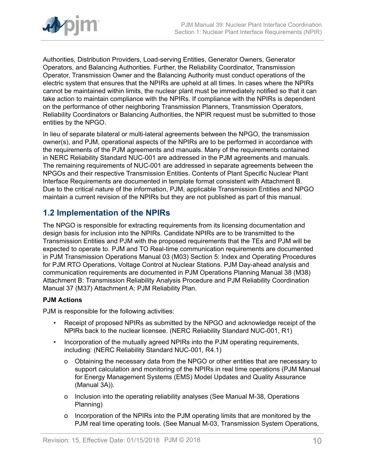

Authorities, Distribution Providers, Load-serving Entities, Generator Owners, Generator Operators, and Balancing Authorities. Further, the Reliability Coordinator, Transmission Operator, Transmission Owner and the Balancing Authority must conduct operations of the electric system that ensures that the NPIRs are upheld at all times. In cases where the NPIRs cannot be maintained within limits, the nuclear plant must be immediately notified so that it can take action to maintain compliance with the NPIRs. If compliance with the NPIRs is dependent on the performance of other neighboring Transmission Planners, Transmission Operators, Reliability Coordinators or Balancing Authorities, the NPIR request must be submitted to those entities by the NPGO.

In lieu of separate bilateral or multi-lateral agreements between the NPGO, the transmission owner(s), and PJM, operational aspects of the NPIRs are to be performed in accordance with the requirements of the PJM agreements and manuals. Many of the requirements contained in NERC Reliability Standard NUC-001 are addressed in the PJM agreements and manuals. The remaining requirements of NUC-001 are addressed in separate agreements between the NPGOs and their respective Transmission Entities. Contents of Plant Specific Nuclear Plant Interface Requirements are documented in template format consistent with Attachment B. Due to the critical nature of the information, PJM, applicable Transmission Entities and NPGO maintain a current revision of the NPIRs but they are not published as part of this manual.

## <span id="page-9-0"></span>**1.2 Implementation of the NPIRs**

The NPGO is responsible for extracting requirements from its licensing documentation and design basis for inclusion into the NPIRs. Candidate NPIRs are to be transmitted to the Transmission Entities and PJM with the proposed requirements that the TEs and PJM will be expected to operate to. PJM and TO Real-time communication requirements are documented in PJM Transmission Operations Manual 03 (M03) Section 5: Index and Operating Procedures for PJM RTO Operations, Voltage Control at Nuclear Stations. PJM Day-ahead analysis and communication requirements are documented in PJM Operations Planning Manual 38 (M38) Attachment B: Transmission Reliability Analysis Procedure and PJM Reliability Coordination Manual 37 (M37) Attachment A: PJM Reliability Plan.

## **PJM Actions**

PJM is responsible for the following activities:

- Receipt of proposed NPIRs as submitted by the NPGO and acknowledge receipt of the NPIRs back to the nuclear licensee. (NERC Reliability Standard NUC-001, R1)
- Incorporation of the mutually agreed NPIRs into the PJM operating requirements, including: (NERC Reliability Standard NUC-001, R4.1)
	- o Obtaining the necessary data from the NPGO or other entities that are necessary to support calculation and monitoring of the NPIRs in real time operations (PJM Manual for Energy Management Systems (EMS) Model Updates and Quality Assurance (Manual 3A)).
	- o Inclusion into the operating reliability analyses (See Manual M-38, Operations Planning)
	- o Incorporation of the NPIRs into the PJM operating limits that are monitored by the PJM real time operating tools. (See Manual M-03, Transmission System Operations,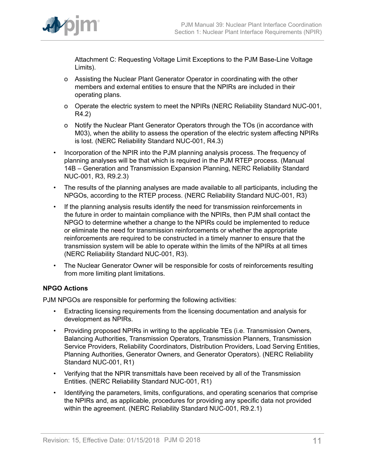

Attachment C: Requesting Voltage Limit Exceptions to the PJM Base-Line Voltage Limits).

- o Assisting the Nuclear Plant Generator Operator in coordinating with the other members and external entities to ensure that the NPIRs are included in their operating plans.
- o Operate the electric system to meet the NPIRs (NERC Reliability Standard NUC-001, R4.2)
- o Notify the Nuclear Plant Generator Operators through the TOs (in accordance with M03), when the ability to assess the operation of the electric system affecting NPIRs is lost. (NERC Reliability Standard NUC-001, R4.3)
- Incorporation of the NPIR into the PJM planning analysis process. The frequency of planning analyses will be that which is required in the PJM RTEP process. (Manual 14B – Generation and Transmission Expansion Planning, NERC Reliability Standard NUC-001, R3, R9.2.3)
- The results of the planning analyses are made available to all participants, including the NPGOs, according to the RTEP process. (NERC Reliability Standard NUC-001, R3)
- If the planning analysis results identify the need for transmission reinforcements in the future in order to maintain compliance with the NPIRs, then PJM shall contact the NPGO to determine whether a change to the NPIRs could be implemented to reduce or eliminate the need for transmission reinforcements or whether the appropriate reinforcements are required to be constructed in a timely manner to ensure that the transmission system will be able to operate within the limits of the NPIRs at all times (NERC Reliability Standard NUC-001, R3).
- The Nuclear Generator Owner will be responsible for costs of reinforcements resulting from more limiting plant limitations.

## **NPGO Actions**

PJM NPGOs are responsible for performing the following activities:

- Extracting licensing requirements from the licensing documentation and analysis for development as NPIRs.
- Providing proposed NPIRs in writing to the applicable TEs (i.e. Transmission Owners, Balancing Authorities, Transmission Operators, Transmission Planners, Transmission Service Providers, Reliability Coordinators, Distribution Providers, Load Serving Entities, Planning Authorities, Generator Owners, and Generator Operators). (NERC Reliability Standard NUC-001, R1)
- Verifying that the NPIR transmittals have been received by all of the Transmission Entities. (NERC Reliability Standard NUC-001, R1)
- Identifying the parameters, limits, configurations, and operating scenarios that comprise the NPIRs and, as applicable, procedures for providing any specific data not provided within the agreement. (NERC Reliability Standard NUC-001, R9.2.1)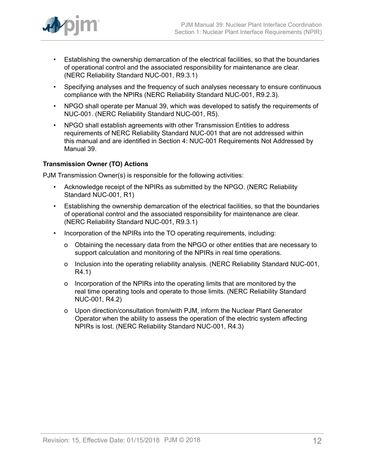

- Establishing the ownership demarcation of the electrical facilities, so that the boundaries of operational control and the associated responsibility for maintenance are clear. (NERC Reliability Standard NUC-001, R9.3.1)
- Specifying analyses and the frequency of such analyses necessary to ensure continuous compliance with the NPIRs (NERC Reliability Standard NUC-001, R9.2.3).
- NPGO shall operate per Manual 39, which was developed to satisfy the requirements of NUC-001. (NERC Reliability Standard NUC-001, R5).
- NPGO shall establish agreements with other Transmission Entities to address requirements of NERC Reliability Standard NUC-001 that are not addressed within this manual and are identified in Section 4: NUC-001 Requirements Not Addressed by Manual 39.

## **Transmission Owner (TO) Actions**

PJM Transmission Owner(s) is responsible for the following activities:

- Acknowledge receipt of the NPIRs as submitted by the NPGO. (NERC Reliability Standard NUC-001, R1)
- Establishing the ownership demarcation of the electrical facilities, so that the boundaries of operational control and the associated responsibility for maintenance are clear. (NERC Reliability Standard NUC-001, R9.3.1)
- Incorporation of the NPIRs into the TO operating requirements, including:
	- o Obtaining the necessary data from the NPGO or other entities that are necessary to support calculation and monitoring of the NPIRs in real time operations.
	- o Inclusion into the operating reliability analysis. (NERC Reliability Standard NUC-001, R4.1)
	- o Incorporation of the NPIRs into the operating limits that are monitored by the real time operating tools and operate to those limits. (NERC Reliability Standard NUC-001, R4.2)
	- o Upon direction/consultation from/with PJM, inform the Nuclear Plant Generator Operator when the ability to assess the operation of the electric system affecting NPIRs is lost. (NERC Reliability Standard NUC-001, R4.3)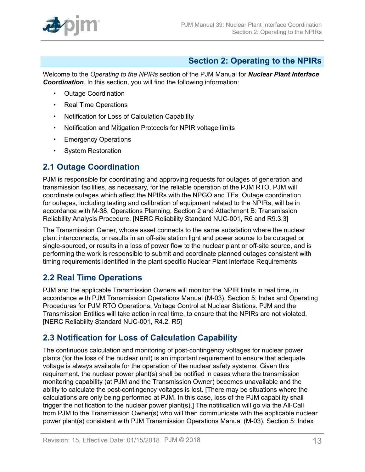

## <span id="page-12-0"></span>**Section 2: Operating to the NPIRs**

Welcome to the *Operating to the NPIRs* section of the PJM Manual for *Nuclear Plant Interface Coordination*. In this section, you will find the following information:

- Outage Coordination
- Real Time Operations
- Notification for Loss of Calculation Capability
- Notification and Mitigation Protocols for NPIR voltage limits
- Emergency Operations
- System Restoration

## <span id="page-12-1"></span>**2.1 Outage Coordination**

PJM is responsible for coordinating and approving requests for outages of generation and transmission facilities, as necessary, for the reliable operation of the PJM RTO. PJM will coordinate outages which affect the NPIRs with the NPGO and TEs. Outage coordination for outages, including testing and calibration of equipment related to the NPIRs, will be in accordance with M-38, Operations Planning, Section 2 and Attachment B: Transmission Reliability Analysis Procedure. [NERC Reliability Standard NUC-001, R6 and R9.3.3]

The Transmission Owner, whose asset connects to the same substation where the nuclear plant interconnects, or results in an off-site station light and power source to be outaged or single-sourced, or results in a loss of power flow to the nuclear plant or off-site source, and is performing the work is responsible to submit and coordinate planned outages consistent with timing requirements identified in the plant specific Nuclear Plant Interface Requirements

## <span id="page-12-2"></span>**2.2 Real Time Operations**

PJM and the applicable Transmission Owners will monitor the NPIR limits in real time, in accordance with PJM Transmission Operations Manual (M-03), Section 5: Index and Operating Procedures for PJM RTO Operations, Voltage Control at Nuclear Stations. PJM and the Transmission Entities will take action in real time, to ensure that the NPIRs are not violated. [NERC Reliability Standard NUC-001, R4.2, R5]

## <span id="page-12-3"></span>**2.3 Notification for Loss of Calculation Capability**

The continuous calculation and monitoring of post-contingency voltages for nuclear power plants (for the loss of the nuclear unit) is an important requirement to ensure that adequate voltage is always available for the operation of the nuclear safety systems. Given this requirement, the nuclear power plant(s) shall be notified in cases where the transmission monitoring capability (at PJM and the Transmission Owner) becomes unavailable and the ability to calculate the post-contingency voltages is lost. [There may be situations where the calculations are only being performed at PJM. In this case, loss of the PJM capability shall trigger the notification to the nuclear power plant(s).] The notification will go via the All-Call from PJM to the Transmission Owner(s) who will then communicate with the applicable nuclear power plant(s) consistent with PJM Transmission Operations Manual (M-03), Section 5: Index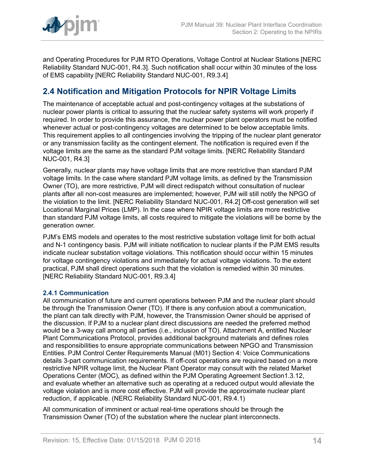

and Operating Procedures for PJM RTO Operations, Voltage Control at Nuclear Stations [NERC Reliability Standard NUC-001, R4.3]. Such notification shall occur within 30 minutes of the loss of EMS capability [NERC Reliability Standard NUC-001, R9.3.4]

## <span id="page-13-0"></span>**2.4 Notification and Mitigation Protocols for NPIR Voltage Limits**

The maintenance of acceptable actual and post-contingency voltages at the substations of nuclear power plants is critical to assuring that the nuclear safety systems will work properly if required. In order to provide this assurance, the nuclear power plant operators must be notified whenever actual or post-contingency voltages are determined to be below acceptable limits. This requirement applies to all contingencies involving the tripping of the nuclear plant generator or any transmission facility as the contingent element. The notification is required even if the voltage limits are the same as the standard PJM voltage limits. [NERC Reliability Standard NUC-001, R4.3]

Generally, nuclear plants may have voltage limits that are more restrictive than standard PJM voltage limits. In the case where standard PJM voltage limits, as defined by the Transmission Owner (TO), are more restrictive, PJM will direct redispatch without consultation of nuclear plants after all non-cost measures are implemented; however, PJM will still notify the NPGO of the violation to the limit. [NERC Reliability Standard NUC-001, R4.2] Off-cost generation will set Locational Marginal Prices (LMP). In the case where NPIR voltage limits are more restrictive than standard PJM voltage limits, all costs required to mitigate the violations will be borne by the generation owner.

PJM's EMS models and operates to the most restrictive substation voltage limit for both actual and N-1 contingency basis. PJM will initiate notification to nuclear plants if the PJM EMS results indicate nuclear substation voltage violations. This notification should occur within 15 minutes for voltage contingency violations and immediately for actual voltage violations. To the extent practical, PJM shall direct operations such that the violation is remedied within 30 minutes. [NERC Reliability Standard NUC-001, R9.3.4]

## <span id="page-13-1"></span>**2.4.1 Communication**

All communication of future and current operations between PJM and the nuclear plant should be through the Transmission Owner (TO). If there is any confusion about a communication, the plant can talk directly with PJM, however, the Transmission Owner should be apprised of the discussion. If PJM to a nuclear plant direct discussions are needed the preferred method would be a 3-way call among all parties (i.e., inclusion of TO). Attachment A, entitled Nuclear Plant Communications Protocol, provides additional background materials and defines roles and responsibilities to ensure appropriate communications between NPGO and Transmission Entities. PJM Control Center Requirements Manual (M01) Section 4: Voice Communications details 3-part communication requirements. If off-cost operations are required based on a more restrictive NPIR voltage limit, the Nuclear Plant Operator may consult with the related Market Operations Center (MOC), as defined within the PJM Operating Agreement Section1.3.12, and evaluate whether an alternative such as operating at a reduced output would alleviate the voltage violation and is more cost effective. PJM will provide the approximate nuclear plant reduction, if applicable. (NERC Reliability Standard NUC-001, R9.4.1)

All communication of imminent or actual real-time operations should be through the Transmission Owner (TO) of the substation where the nuclear plant interconnects.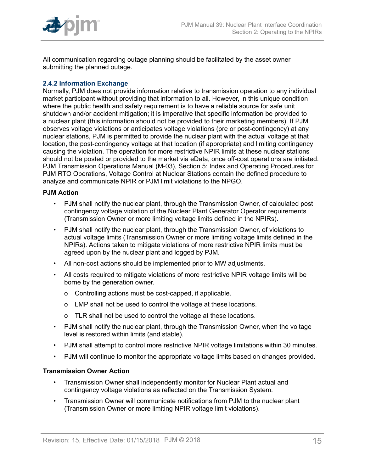

All communication regarding outage planning should be facilitated by the asset owner submitting the planned outage.

## <span id="page-14-0"></span>**2.4.2 Information Exchange**

Normally, PJM does not provide information relative to transmission operation to any individual market participant without providing that information to all. However, in this unique condition where the public health and safety requirement is to have a reliable source for safe unit shutdown and/or accident mitigation; it is imperative that specific information be provided to a nuclear plant (this information should not be provided to their marketing members). If PJM observes voltage violations or anticipates voltage violations (pre or post-contingency) at any nuclear stations, PJM is permitted to provide the nuclear plant with the actual voltage at that location, the post-contingency voltage at that location (if appropriate) and limiting contingency causing the violation. The operation for more restrictive NPIR limits at these nuclear stations should not be posted or provided to the market via eData, once off-cost operations are initiated. PJM Transmission Operations Manual (M-03), Section 5: Index and Operating Procedures for PJM RTO Operations, Voltage Control at Nuclear Stations contain the defined procedure to analyze and communicate NPIR or PJM limit violations to the NPGO.

#### **PJM Action**

- PJM shall notify the nuclear plant, through the Transmission Owner, of calculated post contingency voltage violation of the Nuclear Plant Generator Operator requirements (Transmission Owner or more limiting voltage limits defined in the NPIRs).
- PJM shall notify the nuclear plant, through the Transmission Owner, of violations to actual voltage limits (Transmission Owner or more limiting voltage limits defined in the NPIRs). Actions taken to mitigate violations of more restrictive NPIR limits must be agreed upon by the nuclear plant and logged by PJM.
- All non-cost actions should be implemented prior to MW adjustments.
- All costs required to mitigate violations of more restrictive NPIR voltage limits will be borne by the generation owner.
	- o Controlling actions must be cost-capped, if applicable.
	- o LMP shall not be used to control the voltage at these locations.
	- o TLR shall not be used to control the voltage at these locations.
- PJM shall notify the nuclear plant, through the Transmission Owner, when the voltage level is restored within limits (and stable).
- PJM shall attempt to control more restrictive NPIR voltage limitations within 30 minutes.
- PJM will continue to monitor the appropriate voltage limits based on changes provided.

#### **Transmission Owner Action**

- Transmission Owner shall independently monitor for Nuclear Plant actual and contingency voltage violations as reflected on the Transmission System.
- Transmission Owner will communicate notifications from PJM to the nuclear plant (Transmission Owner or more limiting NPIR voltage limit violations).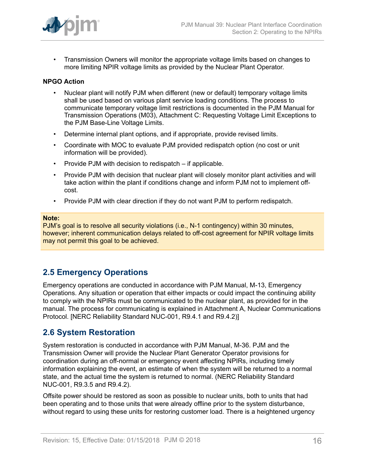

• Transmission Owners will monitor the appropriate voltage limits based on changes to more limiting NPIR voltage limits as provided by the Nuclear Plant Operator.

## **NPGO Action**

- Nuclear plant will notify PJM when different (new or default) temporary voltage limits shall be used based on various plant service loading conditions. The process to communicate temporary voltage limit restrictions is documented in the PJM Manual for Transmission Operations (M03), Attachment C: Requesting Voltage Limit Exceptions to the PJM Base-Line Voltage Limits.
- Determine internal plant options, and if appropriate, provide revised limits.
- Coordinate with MOC to evaluate PJM provided redispatch option (no cost or unit information will be provided).
- Provide PJM with decision to redispatch if applicable.
- Provide PJM with decision that nuclear plant will closely monitor plant activities and will take action within the plant if conditions change and inform PJM not to implement offcost.
- Provide PJM with clear direction if they do not want PJM to perform redispatch.

#### **Note:**

PJM's goal is to resolve all security violations (i.e., N-1 contingency) within 30 minutes, however; inherent communication delays related to off-cost agreement for NPIR voltage limits may not permit this goal to be achieved.

## <span id="page-15-0"></span>**2.5 Emergency Operations**

Emergency operations are conducted in accordance with PJM Manual, M-13, Emergency Operations. Any situation or operation that either impacts or could impact the continuing ability to comply with the NPIRs must be communicated to the nuclear plant, as provided for in the manual. The process for communicating is explained in Attachment A, Nuclear Communications Protocol. [NERC Reliability Standard NUC-001, R9.4.1 and R9.4.2)]

## <span id="page-15-1"></span>**2.6 System Restoration**

System restoration is conducted in accordance with PJM Manual, M-36. PJM and the Transmission Owner will provide the Nuclear Plant Generator Operator provisions for coordination during an off-normal or emergency event affecting NPIRs, including timely information explaining the event, an estimate of when the system will be returned to a normal state, and the actual time the system is returned to normal. (NERC Reliability Standard NUC-001, R9.3.5 and R9.4.2).

Offsite power should be restored as soon as possible to nuclear units, both to units that had been operating and to those units that were already offline prior to the system disturbance, without regard to using these units for restoring customer load. There is a heightened urgency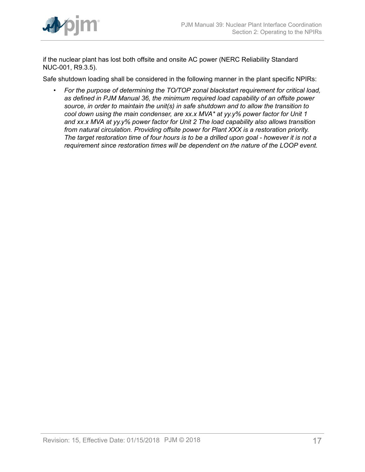

if the nuclear plant has lost both offsite and onsite AC power (NERC Reliability Standard NUC-001, R9.3.5).

Safe shutdown loading shall be considered in the following manner in the plant specific NPIRs:

• *For the purpose of determining the TO/TOP zonal blackstart requirement for critical load, as defined in PJM Manual 36, the minimum required load capability of an offsite power source, in order to maintain the unit(s) in safe shutdown and to allow the transition to cool down using the main condenser, are xx.x MVA\* at yy.y% power factor for Unit 1 and xx.x MVA at yy.y% power factor for Unit 2 The load capability also allows transition from natural circulation. Providing offsite power for Plant XXX is a restoration priority. The target restoration time of four hours is to be a drilled upon goal - however it is not a requirement since restoration times will be dependent on the nature of the LOOP event.*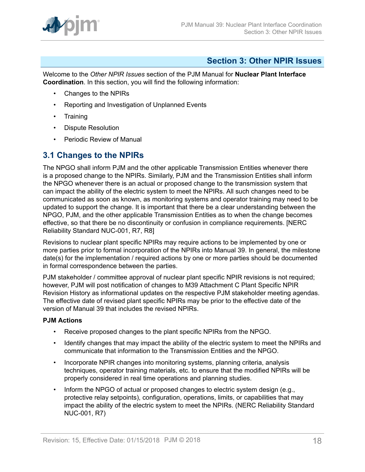

## <span id="page-17-0"></span>**Section 3: Other NPIR Issues**

Welcome to the *Other NPIR Issues* section of the PJM Manual for **Nuclear Plant Interface Coordination**. In this section, you will find the following information:

- Changes to the NPIRs
- Reporting and Investigation of Unplanned Events
- Training
- Dispute Resolution
- Periodic Review of Manual

## <span id="page-17-1"></span>**3.1 Changes to the NPIRs**

The NPGO shall inform PJM and the other applicable Transmission Entities whenever there is a proposed change to the NPIRs. Similarly, PJM and the Transmission Entities shall inform the NPGO whenever there is an actual or proposed change to the transmission system that can impact the ability of the electric system to meet the NPIRs. All such changes need to be communicated as soon as known, as monitoring systems and operator training may need to be updated to support the change. It is important that there be a clear understanding between the NPGO, PJM, and the other applicable Transmission Entities as to when the change becomes effective, so that there be no discontinuity or confusion in compliance requirements. [NERC Reliability Standard NUC-001, R7, R8]

Revisions to nuclear plant specific NPIRs may require actions to be implemented by one or more parties prior to formal incorporation of the NPIRs into Manual 39. In general, the milestone date(s) for the implementation / required actions by one or more parties should be documented in formal correspondence between the parties.

PJM stakeholder / committee approval of nuclear plant specific NPIR revisions is not required; however, PJM will post notification of changes to M39 Attachment C Plant Specific NPIR Revision History as informational updates on the respective PJM stakeholder meeting agendas. The effective date of revised plant specific NPIRs may be prior to the effective date of the version of Manual 39 that includes the revised NPIRs.

## **PJM Actions**

- Receive proposed changes to the plant specific NPIRs from the NPGO.
- Identify changes that may impact the ability of the electric system to meet the NPIRs and communicate that information to the Transmission Entities and the NPGO.
- Incorporate NPIR changes into monitoring systems, planning criteria, analysis techniques, operator training materials, etc. to ensure that the modified NPIRs will be properly considered in real time operations and planning studies.
- Inform the NPGO of actual or proposed changes to electric system design (e.g., protective relay setpoints), configuration, operations, limits, or capabilities that may impact the ability of the electric system to meet the NPIRs. (NERC Reliability Standard NUC-001, R7)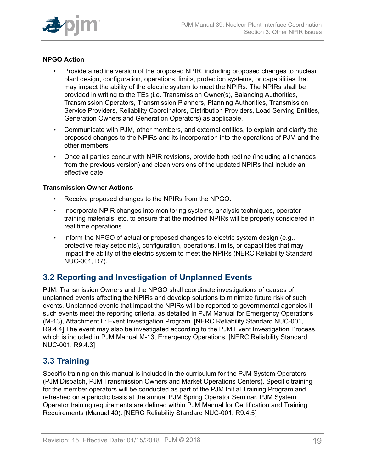

## **NPGO Action**

- Provide a redline version of the proposed NPIR, including proposed changes to nuclear plant design, configuration, operations, limits, protection systems, or capabilities that may impact the ability of the electric system to meet the NPIRs. The NPIRs shall be provided in writing to the TEs (i.e. Transmission Owner(s), Balancing Authorities, Transmission Operators, Transmission Planners, Planning Authorities, Transmission Service Providers, Reliability Coordinators, Distribution Providers, Load Serving Entities, Generation Owners and Generation Operators) as applicable.
- Communicate with PJM, other members, and external entities, to explain and clarify the proposed changes to the NPIRs and its incorporation into the operations of PJM and the other members.
- Once all parties concur with NPIR revisions, provide both redline (including all changes from the previous version) and clean versions of the updated NPIRs that include an effective date.

## **Transmission Owner Actions**

- Receive proposed changes to the NPIRs from the NPGO.
- Incorporate NPIR changes into monitoring systems, analysis techniques, operator training materials, etc. to ensure that the modified NPIRs will be properly considered in real time operations.
- Inform the NPGO of actual or proposed changes to electric system design (e.g., protective relay setpoints), configuration, operations, limits, or capabilities that may impact the ability of the electric system to meet the NPIRs (NERC Reliability Standard NUC-001, R7).

## <span id="page-18-0"></span>**3.2 Reporting and Investigation of Unplanned Events**

PJM, Transmission Owners and the NPGO shall coordinate investigations of causes of unplanned events affecting the NPIRs and develop solutions to minimize future risk of such events. Unplanned events that impact the NPIRs will be reported to governmental agencies if such events meet the reporting criteria, as detailed in PJM Manual for Emergency Operations (M-13), Attachment L: Event Investigation Program. [NERC Reliability Standard NUC-001, R9.4.4] The event may also be investigated according to the PJM Event Investigation Process, which is included in PJM Manual M-13, Emergency Operations. [NERC Reliability Standard NUC-001, R9.4.3]

## <span id="page-18-1"></span>**3.3 Training**

Specific training on this manual is included in the curriculum for the PJM System Operators (PJM Dispatch, PJM Transmission Owners and Market Operations Centers). Specific training for the member operators will be conducted as part of the PJM Initial Training Program and refreshed on a periodic basis at the annual PJM Spring Operator Seminar. PJM System Operator training requirements are defined within PJM Manual for Certification and Training Requirements (Manual 40). [NERC Reliability Standard NUC-001, R9.4.5]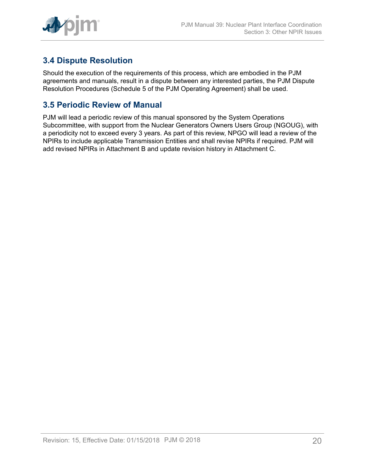

## <span id="page-19-0"></span>**3.4 Dispute Resolution**

Should the execution of the requirements of this process, which are embodied in the PJM agreements and manuals, result in a dispute between any interested parties, the PJM Dispute Resolution Procedures (Schedule 5 of the PJM Operating Agreement) shall be used.

## <span id="page-19-1"></span>**3.5 Periodic Review of Manual**

PJM will lead a periodic review of this manual sponsored by the System Operations Subcommittee, with support from the Nuclear Generators Owners Users Group (NGOUG), with a periodicity not to exceed every 3 years. As part of this review, NPGO will lead a review of the NPIRs to include applicable Transmission Entities and shall revise NPIRs if required. PJM will add revised NPIRs in Attachment B and update revision history in Attachment C.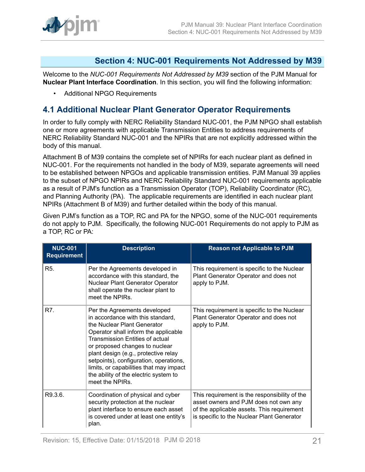

## <span id="page-20-0"></span>**Section 4: NUC-001 Requirements Not Addressed by M39**

Welcome to the *NUC-001 Requirements Not Addressed by M39* section of the PJM Manual for **Nuclear Plant Interface Coordination**. In this section, you will find the following information:

• Additional NPGO Requirements

## <span id="page-20-1"></span>**4.1 Additional Nuclear Plant Generator Operator Requirements**

In order to fully comply with NERC Reliability Standard NUC-001, the PJM NPGO shall establish one or more agreements with applicable Transmission Entities to address requirements of NERC Reliability Standard NUC-001 and the NPIRs that are not explicitly addressed within the body of this manual.

Attachment B of M39 contains the complete set of NPIRs for each nuclear plant as defined in NUC-001. For the requirements not handled in the body of M39, separate agreements will need to be established between NPGOs and applicable transmission entities. PJM Manual 39 applies to the subset of NPGO NPIRs and NERC Reliability Standard NUC-001 requirements applicable as a result of PJM's function as a Transmission Operator (TOP), Reliability Coordinator (RC), and Planning Authority (PA). The applicable requirements are identified in each nuclear plant NPIRs (Attachment B of M39) and further detailed within the body of this manual.

Given PJM's function as a TOP, RC and PA for the NPGO, some of the NUC-001 requirements do not apply to PJM. Specifically, the following NUC-001 Requirements do not apply to PJM as a TOP, RC or PA:

| <b>NUC-001</b><br><b>Requirement</b> | <b>Description</b>                                                                                                                                                                                                                                                                                                                                                                                            | <b>Reason not Applicable to PJM</b>                                                                                                                                                |
|--------------------------------------|---------------------------------------------------------------------------------------------------------------------------------------------------------------------------------------------------------------------------------------------------------------------------------------------------------------------------------------------------------------------------------------------------------------|------------------------------------------------------------------------------------------------------------------------------------------------------------------------------------|
| R <sub>5</sub> .                     | Per the Agreements developed in<br>accordance with this standard, the<br>Nuclear Plant Generator Operator<br>shall operate the nuclear plant to<br>meet the NPIRs.                                                                                                                                                                                                                                            | This requirement is specific to the Nuclear<br>Plant Generator Operator and does not<br>apply to PJM.                                                                              |
| R7.                                  | Per the Agreements developed<br>in accordance with this standard,<br>the Nuclear Plant Generator<br>Operator shall inform the applicable<br><b>Transmission Entities of actual</b><br>or proposed changes to nuclear<br>plant design (e.g., protective relay<br>setpoints), configuration, operations,<br>limits, or capabilities that may impact<br>the ability of the electric system to<br>meet the NPIRs. | This requirement is specific to the Nuclear<br>Plant Generator Operator and does not<br>apply to PJM.                                                                              |
| R9.3.6.                              | Coordination of physical and cyber<br>security protection at the nuclear<br>plant interface to ensure each asset<br>is covered under at least one entity's<br>plan.                                                                                                                                                                                                                                           | This requirement is the responsibility of the<br>asset owners and PJM does not own any<br>of the applicable assets. This requirement<br>is specific to the Nuclear Plant Generator |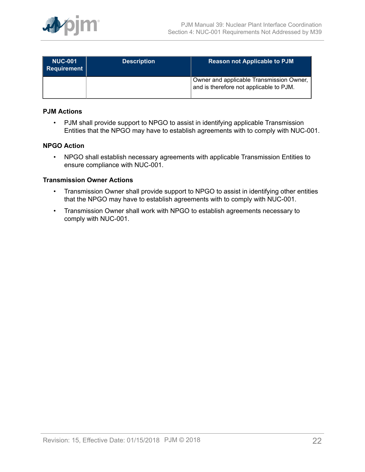

| <b>NUC-001</b><br>Requirement | <b>Description</b> | <b>Reason not Applicable to PJM</b>                                                 |
|-------------------------------|--------------------|-------------------------------------------------------------------------------------|
|                               |                    | Owner and applicable Transmission Owner,<br>and is therefore not applicable to PJM. |

### **PJM Actions**

• PJM shall provide support to NPGO to assist in identifying applicable Transmission Entities that the NPGO may have to establish agreements with to comply with NUC-001.

### **NPGO Action**

• NPGO shall establish necessary agreements with applicable Transmission Entities to ensure compliance with NUC-001.

#### **Transmission Owner Actions**

- Transmission Owner shall provide support to NPGO to assist in identifying other entities that the NPGO may have to establish agreements with to comply with NUC-001.
- Transmission Owner shall work with NPGO to establish agreements necessary to comply with NUC-001.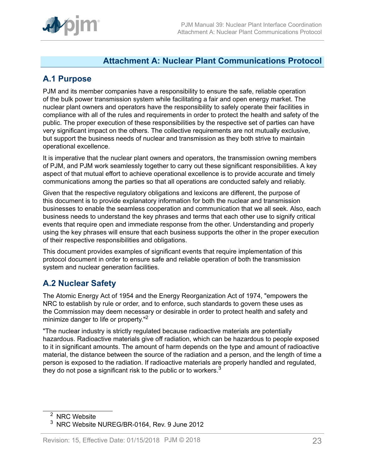

## <span id="page-22-0"></span>**Attachment A: Nuclear Plant Communications Protocol**

## <span id="page-22-1"></span>**A.1 Purpose**

PJM and its member companies have a responsibility to ensure the safe, reliable operation of the bulk power transmission system while facilitating a fair and open energy market. The nuclear plant owners and operators have the responsibility to safely operate their facilities in compliance with all of the rules and requirements in order to protect the health and safety of the public. The proper execution of these responsibilities by the respective set of parties can have very significant impact on the others. The collective requirements are not mutually exclusive, but support the business needs of nuclear and transmission as they both strive to maintain operational excellence.

It is imperative that the nuclear plant owners and operators, the transmission owning members of PJM, and PJM work seamlessly together to carry out these significant responsibilities. A key aspect of that mutual effort to achieve operational excellence is to provide accurate and timely communications among the parties so that all operations are conducted safely and reliably.

Given that the respective regulatory obligations and lexicons are different, the purpose of this document is to provide explanatory information for both the nuclear and transmission businesses to enable the seamless cooperation and communication that we all seek. Also, each business needs to understand the key phrases and terms that each other use to signify critical events that require open and immediate response from the other. Understanding and properly using the key phrases will ensure that each business supports the other in the proper execution of their respective responsibilities and obligations.

This document provides examples of significant events that require implementation of this protocol document in order to ensure safe and reliable operation of both the transmission system and nuclear generation facilities.

## <span id="page-22-2"></span>**A.2 Nuclear Safety**

The Atomic Energy Act of 1954 and the Energy Reorganization Act of 1974, "empowers the NRC to establish by rule or order, and to enforce, such standards to govern these uses as the Commission may deem necessary or desirable in order to protect health and safety and minimize danger to life or property."<sup>2</sup>

"The nuclear industry is strictly regulated because radioactive materials are potentially hazardous. Radioactive materials give off radiation, which can be hazardous to people exposed to it in significant amounts. The amount of harm depends on the type and amount of radioactive material, the distance between the source of the radiation and a person, and the length of time a person is exposed to the radiation. If radioactive materials are properly handled and regulated, they do not pose a significant risk to the public or to workers. $3$ 

<sup>&</sup>lt;sup>2</sup> NRC Website

<sup>3</sup> NRC Website NUREG/BR-0164, Rev. 9 June 2012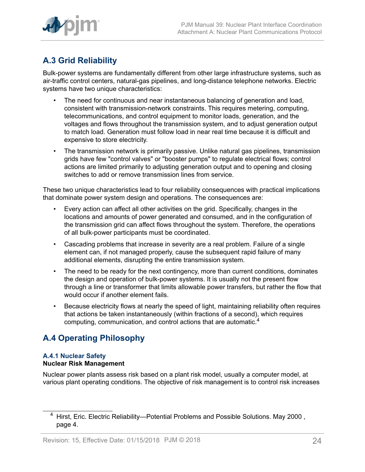

# <span id="page-23-0"></span>**A.3 Grid Reliability**

Bulk-power systems are fundamentally different from other large infrastructure systems, such as air-traffic control centers, natural-gas pipelines, and long-distance telephone networks. Electric systems have two unique characteristics:

- The need for continuous and near instantaneous balancing of generation and load, consistent with transmission-network constraints. This requires metering, computing, telecommunications, and control equipment to monitor loads, generation, and the voltages and flows throughout the transmission system, and to adjust generation output to match load. Generation must follow load in near real time because it is difficult and expensive to store electricity.
- The transmission network is primarily passive. Unlike natural gas pipelines, transmission grids have few "control valves" or "booster pumps" to regulate electrical flows; control actions are limited primarily to adjusting generation output and to opening and closing switches to add or remove transmission lines from service.

These two unique characteristics lead to four reliability consequences with practical implications that dominate power system design and operations. The consequences are:

- Every action can affect all other activities on the grid. Specifically, changes in the locations and amounts of power generated and consumed, and in the configuration of the transmission grid can affect flows throughout the system. Therefore, the operations of all bulk-power participants must be coordinated.
- Cascading problems that increase in severity are a real problem. Failure of a single element can, if not managed properly, cause the subsequent rapid failure of many additional elements, disrupting the entire transmission system.
- The need to be ready for the next contingency, more than current conditions, dominates the design and operation of bulk-power systems. It is usually not the present flow through a line or transformer that limits allowable power transfers, but rather the flow that would occur if another element fails.
- Because electricity flows at nearly the speed of light, maintaining reliability often requires that actions be taken instantaneously (within fractions of a second), which requires computing, communication, and control actions that are automatic.<sup>4</sup>

## <span id="page-23-1"></span>**A.4 Operating Philosophy**

## **A.4.1 Nuclear Safety Nuclear Risk Management**

Nuclear power plants assess risk based on a plant risk model, usually a computer model, at various plant operating conditions. The objective of risk management is to control risk increases

<sup>&</sup>lt;sup>4</sup> Hirst, Eric. Electric Reliability—Potential Problems and Possible Solutions. May 2000, page 4.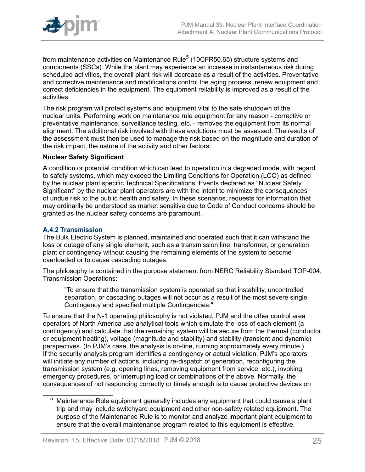

from maintenance activities on Maintenance Rule $^5$  (10CFR50.65) structure systems and components (SSCs). While the plant may experience an increase in instantaneous risk during scheduled activities, the overall plant risk will decrease as a result of the activities. Preventative and corrective maintenance and modifications control the aging process, renew equipment and correct deficiencies in the equipment. The equipment reliability is improved as a result of the activities.

The risk program will protect systems and equipment vital to the safe shutdown of the nuclear units. Performing work on maintenance rule equipment for any reason - corrective or preventative maintenance, surveillance testing, etc. - removes the equipment from its normal alignment. The additional risk involved with these evolutions must be assessed. The results of the assessment must then be used to manage the risk based on the magnitude and duration of the risk impact, the nature of the activity and other factors.

#### **Nuclear Safety Significant**

A condition or potential condition which can lead to operation in a degraded mode, with regard to safety systems, which may exceed the Limiting Conditions for Operation (LCO) as defined by the nuclear plant specific Technical Specifications. Events declared as "Nuclear Safety Significant" by the nuclear plant operators are with the intent to minimize the consequences of undue risk to the public health and safety. In these scenarios, requests for information that may ordinarily be understood as market sensitive due to Code of Conduct concerns should be granted as the nuclear safety concerns are paramount.

## **A.4.2 Transmission**

The Bulk Electric System is planned, maintained and operated such that it can withstand the loss or outage of any single element, such as a transmission line, transformer, or generation plant or contingency without causing the remaining elements of the system to become overloaded or to cause cascading outages.

The philosophy is contained in the purpose statement from NERC Reliability Standard TOP-004, Transmission Operations:

"To ensure that the transmission system is operated so that instability, uncontrolled separation, or cascading outages will not occur as a result of the most severe single Contingency and specified multiple Contingencies."

To ensure that the N-1 operating philosophy is not violated, PJM and the other control area operators of North America use analytical tools which simulate the loss of each element (a contingency) and calculate that the remaining system will be secure from the thermal (conductor or equipment heating), voltage (magnitude and stability) and stability (transient and dynamic) perspectives. (In PJM's case, the analysis is on-line, running approximately every minute.) If the security analysis program identifies a contingency or actual violation, PJM's operators will initiate any number of actions, including re-dispatch of generation, reconfiguring the transmission system (e.g. opening lines, removing equipment from service, etc.), invoking emergency procedures, or interrupting load or combinations of the above. Normally, the consequences of not responding correctly or timely enough is to cause protective devices on

 $5$  Maintenance Rule equipment generally includes any equipment that could cause a plant trip and may include switchyard equipment and other non-safety related equipment. The purpose of the Maintenance Rule is to monitor and analyze important plant equipment to ensure that the overall maintenance program related to this equipment is effective.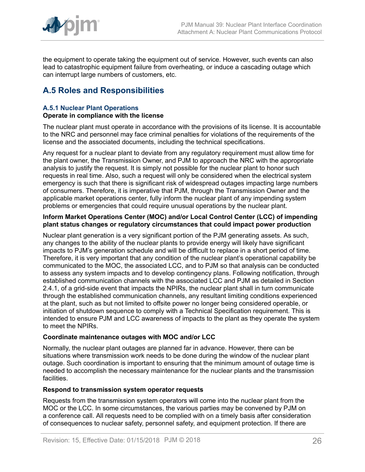

the equipment to operate taking the equipment out of service. However, such events can also lead to catastrophic equipment failure from overheating, or induce a cascading outage which can interrupt large numbers of customers, etc.

## <span id="page-25-0"></span>**A.5 Roles and Responsibilities**

#### **A.5.1 Nuclear Plant Operations Operate in compliance with the license**

The nuclear plant must operate in accordance with the provisions of its license. It is accountable to the NRC and personnel may face criminal penalties for violations of the requirements of the license and the associated documents, including the technical specifications.

Any request for a nuclear plant to deviate from any regulatory requirement must allow time for the plant owner, the Transmission Owner, and PJM to approach the NRC with the appropriate analysis to justify the request. It is simply not possible for the nuclear plant to honor such requests in real time. Also, such a request will only be considered when the electrical system emergency is such that there is significant risk of widespread outages impacting large numbers of consumers. Therefore, it is imperative that PJM, through the Transmission Owner and the applicable market operations center, fully inform the nuclear plant of any impending system problems or emergencies that could require unusual operations by the nuclear plant.

#### **Inform Market Operations Center (MOC) and/or Local Control Center (LCC) of impending plant status changes or regulatory circumstances that could impact power production**

Nuclear plant generation is a very significant portion of the PJM generating assets. As such, any changes to the ability of the nuclear plants to provide energy will likely have significant impacts to PJM's generation schedule and will be difficult to replace in a short period of time. Therefore, it is very important that any condition of the nuclear plant's operational capability be communicated to the MOC, the associated LCC, and to PJM so that analysis can be conducted to assess any system impacts and to develop contingency plans. Following notification, through established communication channels with the associated LCC and PJM as detailed in Section 2.4.1, of a grid-side event that impacts the NPIRs, the nuclear plant shall in turn communicate through the established communication channels, any resultant limiting conditions experienced at the plant, such as but not limited to offsite power no longer being considered operable, or initiation of shutdown sequence to comply with a Technical Specification requirement. This is intended to ensure PJM and LCC awareness of impacts to the plant as they operate the system to meet the NPIRs.

## **Coordinate maintenance outages with MOC and/or LCC**

Normally, the nuclear plant outages are planned far in advance. However, there can be situations where transmission work needs to be done during the window of the nuclear plant outage. Such coordination is important to ensuring that the minimum amount of outage time is needed to accomplish the necessary maintenance for the nuclear plants and the transmission facilities.

## **Respond to transmission system operator requests**

Requests from the transmission system operators will come into the nuclear plant from the MOC or the LCC. In some circumstances, the various parties may be convened by PJM on a conference call. All requests need to be complied with on a timely basis after consideration of consequences to nuclear safety, personnel safety, and equipment protection. If there are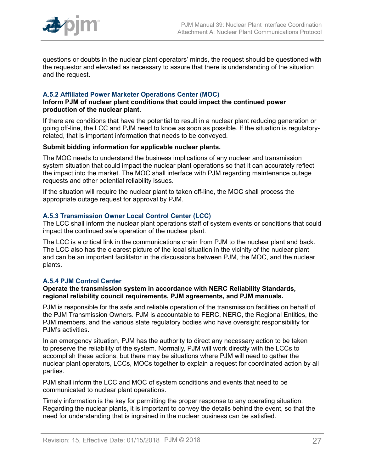

questions or doubts in the nuclear plant operators' minds, the request should be questioned with the requestor and elevated as necessary to assure that there is understanding of the situation and the request.

### **A.5.2 Affiliated Power Marketer Operations Center (MOC)**

#### **Inform PJM of nuclear plant conditions that could impact the continued power production of the nuclear plant.**

If there are conditions that have the potential to result in a nuclear plant reducing generation or going off-line, the LCC and PJM need to know as soon as possible. If the situation is regulatoryrelated, that is important information that needs to be conveyed.

#### **Submit bidding information for applicable nuclear plants.**

The MOC needs to understand the business implications of any nuclear and transmission system situation that could impact the nuclear plant operations so that it can accurately reflect the impact into the market. The MOC shall interface with PJM regarding maintenance outage requests and other potential reliability issues.

If the situation will require the nuclear plant to taken off-line, the MOC shall process the appropriate outage request for approval by PJM.

#### **A.5.3 Transmission Owner Local Control Center (LCC)**

The LCC shall inform the nuclear plant operations staff of system events or conditions that could impact the continued safe operation of the nuclear plant.

The LCC is a critical link in the communications chain from PJM to the nuclear plant and back. The LCC also has the clearest picture of the local situation in the vicinity of the nuclear plant and can be an important facilitator in the discussions between PJM, the MOC, and the nuclear plants.

#### **A.5.4 PJM Control Center**

#### **Operate the transmission system in accordance with NERC Reliability Standards, regional reliability council requirements, PJM agreements, and PJM manuals.**

PJM is responsible for the safe and reliable operation of the transmission facilities on behalf of the PJM Transmission Owners. PJM is accountable to FERC, NERC, the Regional Entities, the PJM members, and the various state regulatory bodies who have oversight responsibility for PJM's activities.

In an emergency situation, PJM has the authority to direct any necessary action to be taken to preserve the reliability of the system. Normally, PJM will work directly with the LCCs to accomplish these actions, but there may be situations where PJM will need to gather the nuclear plant operators, LCCs, MOCs together to explain a request for coordinated action by all parties.

PJM shall inform the LCC and MOC of system conditions and events that need to be communicated to nuclear plant operations.

Timely information is the key for permitting the proper response to any operating situation. Regarding the nuclear plants, it is important to convey the details behind the event, so that the need for understanding that is ingrained in the nuclear business can be satisfied.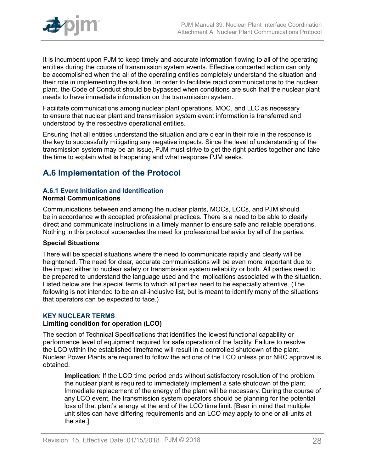

It is incumbent upon PJM to keep timely and accurate information flowing to all of the operating entities during the course of transmission system events. Effective concerted action can only be accomplished when the all of the operating entities completely understand the situation and their role in implementing the solution. In order to facilitate rapid communications to the nuclear plant, the Code of Conduct should be bypassed when conditions are such that the nuclear plant needs to have immediate information on the transmission system.

Facilitate communications among nuclear plant operations, MOC, and LLC as necessary to ensure that nuclear plant and transmission system event information is transferred and understood by the respective operational entities.

Ensuring that all entities understand the situation and are clear in their role in the response is the key to successfully mitigating any negative impacts. Since the level of understanding of the transmission system may be an issue, PJM must strive to get the right parties together and take the time to explain what is happening and what response PJM seeks.

## <span id="page-27-0"></span>**A.6 Implementation of the Protocol**

## **A.6.1 Event Initiation and Identification**

#### **Normal Communications**

Communications between and among the nuclear plants, MOCs, LCCs, and PJM should be in accordance with accepted professional practices. There is a need to be able to clearly direct and communicate instructions in a timely manner to ensure safe and reliable operations. Nothing in this protocol supersedes the need for professional behavior by all of the parties.

## **Special Situations**

There will be special situations where the need to communicate rapidly and clearly will be heightened. The need for clear, accurate communications will be even more important due to the impact either to nuclear safety or transmission system reliability or both. All parties need to be prepared to understand the language used and the implications associated with the situation. Listed below are the special terms to which all parties need to be especially attentive. (The following is not intended to be an all-inclusive list, but is meant to identify many of the situations that operators can be expected to face.)

## **KEY NUCLEAR TERMS**

## **Limiting condition for operation (LCO)**

The section of Technical Specifications that identifies the lowest functional capability or performance level of equipment required for safe operation of the facility. Failure to resolve the LCO within the established timeframe will result in a controlled shutdown of the plant. Nuclear Power Plants are required to follow the actions of the LCO unless prior NRC approval is obtained.

**Implication**: If the LCO time period ends without satisfactory resolution of the problem, the nuclear plant is required to immediately implement a safe shutdown of the plant. Immediate replacement of the energy of the plant will be necessary. During the course of any LCO event, the transmission system operators should be planning for the potential loss of that plant's energy at the end of the LCO time limit. [Bear in mind that multiple unit sites can have differing requirements and an LCO may apply to one or all units at the site.]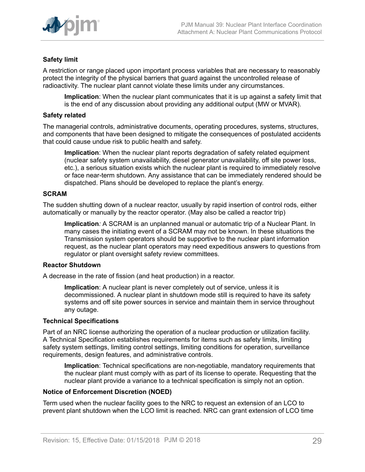

## **Safety limit**

A restriction or range placed upon important process variables that are necessary to reasonably protect the integrity of the physical barriers that guard against the uncontrolled release of radioactivity. The nuclear plant cannot violate these limits under any circumstances.

**Implication**: When the nuclear plant communicates that it is up against a safety limit that is the end of any discussion about providing any additional output (MW or MVAR).

#### **Safety related**

The managerial controls, administrative documents, operating procedures, systems, structures, and components that have been designed to mitigate the consequences of postulated accidents that could cause undue risk to public health and safety.

**Implication**: When the nuclear plant reports degradation of safety related equipment (nuclear safety system unavailability, diesel generator unavailability, off site power loss, etc.), a serious situation exists which the nuclear plant is required to immediately resolve or face near-term shutdown. Any assistance that can be immediately rendered should be dispatched. Plans should be developed to replace the plant's energy.

#### **SCRAM**

The sudden shutting down of a nuclear reactor, usually by rapid insertion of control rods, either automatically or manually by the reactor operator. (May also be called a reactor trip)

**Implication***:* A SCRAM is an unplanned manual or automatic trip of a Nuclear Plant. In many cases the initiating event of a SCRAM may not be known. In these situations the Transmission system operators should be supportive to the nuclear plant information request, as the nuclear plant operators may need expeditious answers to questions from regulator or plant oversight safety review committees.

#### **Reactor Shutdown**

A decrease in the rate of fission (and heat production) in a reactor.

**Implication**: A nuclear plant is never completely out of service, unless it is decommissioned. A nuclear plant in shutdown mode still is required to have its safety systems and off site power sources in service and maintain them in service throughout any outage.

#### **Technical Specifications**

Part of an NRC license authorizing the operation of a nuclear production or utilization facility. A Technical Specification establishes requirements for items such as safety limits, limiting safety system settings, limiting control settings, limiting conditions for operation, surveillance requirements, design features, and administrative controls.

**Implication**: Technical specifications are non-negotiable, mandatory requirements that the nuclear plant must comply with as part of its license to operate. Requesting that the nuclear plant provide a variance to a technical specification is simply not an option.

#### **Notice of Enforcement Discretion (NOED)**

Term used when the nuclear facility goes to the NRC to request an extension of an LCO to prevent plant shutdown when the LCO limit is reached. NRC can grant extension of LCO time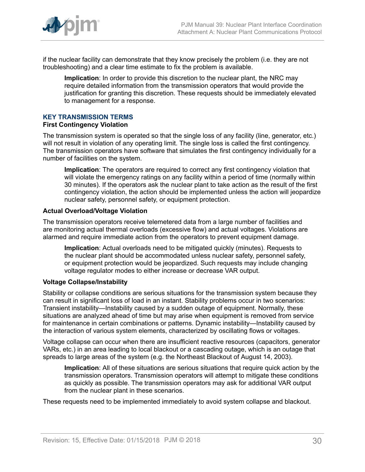

if the nuclear facility can demonstrate that they know precisely the problem (i.e. they are not troubleshooting) and a clear time estimate to fix the problem is available.

**Implication**: In order to provide this discretion to the nuclear plant, the NRC may require detailed information from the transmission operators that would provide the justification for granting this discretion. These requests should be immediately elevated to management for a response.

## **KEY TRANSMISSION TERMS**

#### **First Contingency Violation**

The transmission system is operated so that the single loss of any facility (line, generator, etc.) will not result in violation of any operating limit. The single loss is called the first contingency. The transmission operators have software that simulates the first contingency individually for a number of facilities on the system.

**Implication**: The operators are required to correct any first contingency violation that will violate the emergency ratings on any facility within a period of time (normally within 30 minutes). If the operators ask the nuclear plant to take action as the result of the first contingency violation, the action should be implemented unless the action will jeopardize nuclear safety, personnel safety, or equipment protection.

#### **Actual Overload/Voltage Violation**

The transmission operators receive telemetered data from a large number of facilities and are monitoring actual thermal overloads (excessive flow) and actual voltages. Violations are alarmed and require immediate action from the operators to prevent equipment damage.

**Implication**: Actual overloads need to be mitigated quickly (minutes). Requests to the nuclear plant should be accommodated unless nuclear safety, personnel safety, or equipment protection would be jeopardized. Such requests may include changing voltage regulator modes to either increase or decrease VAR output.

## **Voltage Collapse/Instability**

Stability or collapse conditions are serious situations for the transmission system because they can result in significant loss of load in an instant. Stability problems occur in two scenarios: Transient instability—Instability caused by a sudden outage of equipment. Normally, these situations are analyzed ahead of time but may arise when equipment is removed from service for maintenance in certain combinations or patterns. Dynamic instability—Instability caused by the interaction of various system elements, characterized by oscillating flows or voltages.

Voltage collapse can occur when there are insufficient reactive resources (capacitors, generator VARs, etc.) in an area leading to local blackout or a cascading outage, which is an outage that spreads to large areas of the system (e.g. the Northeast Blackout of August 14, 2003).

**Implication**: All of these situations are serious situations that require quick action by the transmission operators. Transmission operators will attempt to mitigate these conditions as quickly as possible. The transmission operators may ask for additional VAR output from the nuclear plant in these scenarios.

These requests need to be implemented immediately to avoid system collapse and blackout.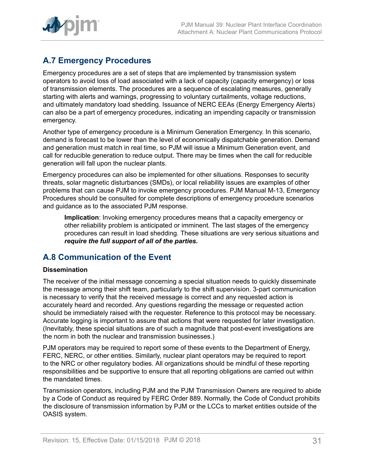

## <span id="page-30-0"></span>**A.7 Emergency Procedures**

Emergency procedures are a set of steps that are implemented by transmission system operators to avoid loss of load associated with a lack of capacity (capacity emergency) or loss of transmission elements. The procedures are a sequence of escalating measures, generally starting with alerts and warnings, progressing to voluntary curtailments, voltage reductions, and ultimately mandatory load shedding. Issuance of NERC EEAs (Energy Emergency Alerts) can also be a part of emergency procedures, indicating an impending capacity or transmission emergency.

Another type of emergency procedure is a Minimum Generation Emergency. In this scenario, demand is forecast to be lower than the level of economically dispatchable generation. Demand and generation must match in real time, so PJM will issue a Minimum Generation event, and call for reducible generation to reduce output. There may be times when the call for reducible generation will fall upon the nuclear plants.

Emergency procedures can also be implemented for other situations. Responses to security threats, solar magnetic disturbances (SMDs), or local reliability issues are examples of other problems that can cause PJM to invoke emergency procedures. PJM Manual M-13, Emergency Procedures should be consulted for complete descriptions of emergency procedure scenarios and guidance as to the associated PJM response.

**Implication**: Invoking emergency procedures means that a capacity emergency or other reliability problem is anticipated or imminent. The last stages of the emergency procedures can result in load shedding. These situations are very serious situations and *require the full support of all of the parties.*

## <span id="page-30-1"></span>**A.8 Communication of the Event**

## **Dissemination**

The receiver of the initial message concerning a special situation needs to quickly disseminate the message among their shift team, particularly to the shift supervision. 3-part communication is necessary to verify that the received message is correct and any requested action is accurately heard and recorded. Any questions regarding the message or requested action should be immediately raised with the requester. Reference to this protocol may be necessary. Accurate logging is important to assure that actions that were requested for later investigation. (Inevitably, these special situations are of such a magnitude that post-event investigations are the norm in both the nuclear and transmission businesses.)

PJM operators may be required to report some of these events to the Department of Energy, FERC, NERC, or other entities. Similarly, nuclear plant operators may be required to report to the NRC or other regulatory bodies. All organizations should be mindful of these reporting responsibilities and be supportive to ensure that all reporting obligations are carried out within the mandated times.

Transmission operators, including PJM and the PJM Transmission Owners are required to abide by a Code of Conduct as required by FERC Order 889. Normally, the Code of Conduct prohibits the disclosure of transmission information by PJM or the LCCs to market entities outside of the OASIS system.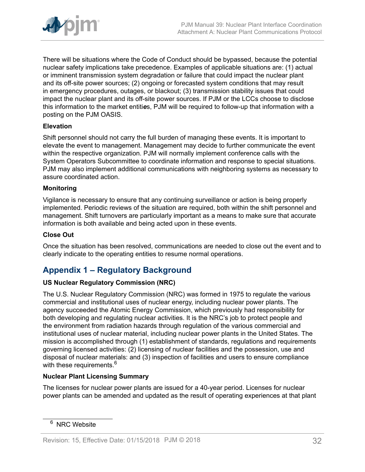

There will be situations where the Code of Conduct should be bypassed, because the potential nuclear safety implications take precedence. Examples of applicable situations are: (1) actual or imminent transmission system degradation or failure that could impact the nuclear plant and its off-site power sources; (2) ongoing or forecasted system conditions that may result in emergency procedures, outages, or blackout; (3) transmission stability issues that could impact the nuclear plant and its off-site power sources. If PJM or the LCCs choose to disclose this information to the market entiti*e*s, PJM will be required to follow-up that information with a posting on the PJM OASIS.

## **Elevation**

Shift personnel should not carry the full burden of managing these events. It is important to elevate the event to management. Management may decide to further communicate the event within the respective organization. PJM will normally implement conference calls with the System Operators Subcommittee to coordinate information and response to special situations. PJM may also implement additional communications with neighboring systems as necessary to assure coordinated action.

## **Monitoring**

Vigilance is necessary to ensure that any continuing surveillance or action is being properly implemented. Periodic reviews of the situation are required, both within the shift personnel and management. Shift turnovers are particularly important as a means to make sure that accurate information is both available and being acted upon in these events.

### **Close Out**

Once the situation has been resolved, communications are needed to close out the event and to clearly indicate to the operating entities to resume normal operations.

## <span id="page-31-0"></span>**Appendix 1 – Regulatory Background**

## **US Nuclear Regulatory Commission (NRC)**

The U.S. Nuclear Regulatory Commission (NRC) was formed in 1975 to regulate the various commercial and institutional uses of nuclear energy, including nuclear power plants. The agency succeeded the Atomic Energy Commission, which previously had responsibility for both developing and regulating nuclear activities. It is the NRC's job to protect people and the environment from radiation hazards through regulation of the various commercial and institutional uses of nuclear material, including nuclear power plants in the United States. The mission is accomplished through (1) establishment of standards, regulations and requirements governing licensed activities: (2) licensing of nuclear facilities and the possession, use and disposal of nuclear materials: and (3) inspection of facilities and users to ensure compliance with these requirements.<sup>6</sup>

## **Nuclear Plant Licensing Summary**

The licenses for nuclear power plants are issued for a 40-year period. Licenses for nuclear power plants can be amended and updated as the result of operating experiences at that plant

<sup>&</sup>lt;sup>6</sup> NRC Website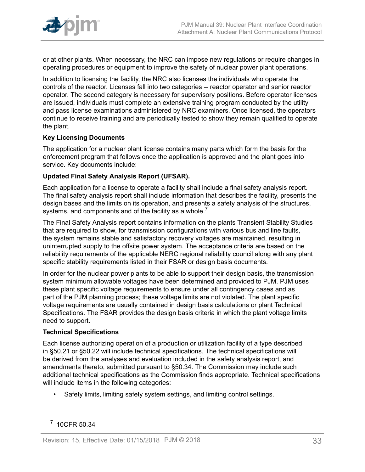

or at other plants. When necessary, the NRC can impose new regulations or require changes in operating procedures or equipment to improve the safety of nuclear power plant operations.

In addition to licensing the facility, the NRC also licenses the individuals who operate the controls of the reactor. Licenses fall into two categories -- reactor operator and senior reactor operator. The second category is necessary for supervisory positions. Before operator licenses are issued, individuals must complete an extensive training program conducted by the utility and pass license examinations administered by NRC examiners. Once licensed, the operators continue to receive training and are periodically tested to show they remain qualified to operate the plant.

## **Key Licensing Documents**

The application for a nuclear plant license contains many parts which form the basis for the enforcement program that follows once the application is approved and the plant goes into service. Key documents include:

## **Updated Final Safety Analysis Report (UFSAR).**

Each application for a license to operate a facility shall include a final safety analysis report. The final safety analysis report shall include information that describes the facility, presents the design bases and the limits on its operation, and presents a safety analysis of the structures, systems, and components and of the facility as a whole.<sup>7</sup>

The Final Safety Analysis report contains information on the plants Transient Stability Studies that are required to show, for transmission configurations with various bus and line faults, the system remains stable and satisfactory recovery voltages are maintained, resulting in uninterrupted supply to the offsite power system. The acceptance criteria are based on the reliability requirements of the applicable NERC regional reliability council along with any plant specific stability requirements listed in their FSAR or design basis documents.

In order for the nuclear power plants to be able to support their design basis, the transmission system minimum allowable voltages have been determined and provided to PJM. PJM uses these plant specific voltage requirements to ensure under all contingency cases and as part of the PJM planning process; these voltage limits are not violated. The plant specific voltage requirements are usually contained in design basis calculations or plant Technical Specifications. The FSAR provides the design basis criteria in which the plant voltage limits need to support.

## **Technical Specifications**

Each license authorizing operation of a production or utilization facility of a type described in §50.21 or §50.22 will include technical specifications. The technical specifications will be derived from the analyses and evaluation included in the safety analysis report, and amendments thereto, submitted pursuant to §50.34. The Commission may include such additional technical specifications as the Commission finds appropriate. Technical specifications will include items in the following categories:

• Safety limits, limiting safety system settings, and limiting control settings.

<sup>7</sup> 10CFR 50.34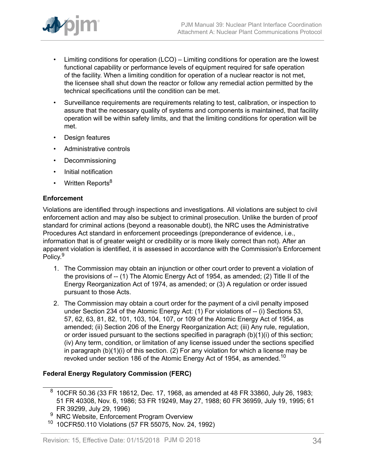

- Limiting conditions for operation (LCO) Limiting conditions for operation are the lowest functional capability or performance levels of equipment required for safe operation of the facility. When a limiting condition for operation of a nuclear reactor is not met, the licensee shall shut down the reactor or follow any remedial action permitted by the technical specifications until the condition can be met.
- Surveillance requirements are requirements relating to test, calibration, or inspection to assure that the necessary quality of systems and components is maintained, that facility operation will be within safety limits, and that the limiting conditions for operation will be met.
- Design features
- Administrative controls
- Decommissioning
- Initial notification
- Written Reports<sup>8</sup>

## **Enforcement**

Violations are identified through inspections and investigations. All violations are subject to civil enforcement action and may also be subject to criminal prosecution. Unlike the burden of proof standard for criminal actions (beyond a reasonable doubt), the NRC uses the Administrative Procedures Act standard in enforcement proceedings (preponderance of evidence, i.e., information that is of greater weight or credibility or is more likely correct than not). After an apparent violation is identified, it is assessed in accordance with the Commission's Enforcement Policy.<sup>9</sup>

- 1. The Commission may obtain an injunction or other court order to prevent a violation of the provisions of -- (1) The Atomic Energy Act of 1954, as amended; (2) Title II of the Energy Reorganization Act of 1974, as amended; or (3) A regulation or order issued pursuant to those Acts.
- 2. The Commission may obtain a court order for the payment of a civil penalty imposed under Section 234 of the Atomic Energy Act: (1) For violations of -- (i) Sections 53, 57, 62, 63, 81, 82, 101, 103, 104, 107, or 109 of the Atomic Energy Act of 1954, as amended; (ii) Section 206 of the Energy Reorganization Act; (iii) Any rule, regulation, or order issued pursuant to the sections specified in paragraph (b)(1)(i) of this section; (iv) Any term, condition, or limitation of any license issued under the sections specified in paragraph (b)(1)(i) of this section. (2) For any violation for which a license may be revoked under section 186 of the Atomic Energy Act of 1954, as amended.<sup>10</sup>

## **Federal Energy Regulatory Commission (FERC)**

 $^8\,$  10CFR 50.36 (33 FR 18612, Dec. 17, 1968, as amended at 48 FR 33860, July 26, 1983; 51 FR 40308, Nov. 6, 1986; 53 FR 19249, May 27, 1988; 60 FR 36959, July 19, 1995; 61 FR 39299, July 29, 1996)

NRC Website, Enforcement Program Overview

<sup>10</sup> 10CFR50.110 Violations (57 FR 55075, Nov. 24, 1992)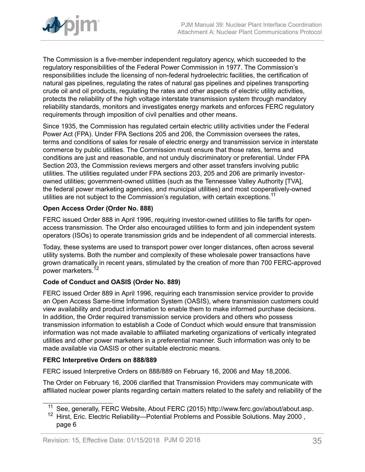

The Commission is a five-member independent regulatory agency, which succeeded to the regulatory responsibilities of the Federal Power Commission in 1977. The Commission's responsibilities include the licensing of non-federal hydroelectric facilities, the certification of natural gas pipelines, regulating the rates of natural gas pipelines and pipelines transporting crude oil and oil products, regulating the rates and other aspects of electric utility activities, protects the reliability of the high voltage interstate transmission system through mandatory reliability standards, monitors and investigates energy markets and enforces FERC regulatory requirements through imposition of civil penalties and other means.

Since 1935, the Commission has regulated certain electric utility activities under the Federal Power Act (FPA). Under FPA Sections 205 and 206, the Commission oversees the rates, terms and conditions of sales for resale of electric energy and transmission service in interstate commerce by public utilities. The Commission must ensure that those rates, terms and conditions are just and reasonable, and not unduly discriminatory or preferential. Under FPA Section 203, the Commission reviews mergers and other asset transfers involving public utilities. The utilities regulated under FPA sections 203, 205 and 206 are primarily investorowned utilities; government-owned utilities (such as the Tennessee Valley Authority [TVA], the federal power marketing agencies, and municipal utilities) and most cooperatively-owned utilities are not subject to the Commission's regulation, with certain exceptions.<sup>11</sup>

## **Open Access Order (Order No. 888)**

FERC issued Order 888 in April 1996, requiring investor-owned utilities to file tariffs for openaccess transmission. The Order also encouraged utilities to form and join independent system operators (ISOs) to operate transmission grids and be independent of all commercial interests.

Today, these systems are used to transport power over longer distances, often across several utility systems. Both the number and complexity of these wholesale power transactions have grown dramatically in recent years, stimulated by the creation of more than 700 FERC-approved power marketers.<sup>12</sup>

## **Code of Conduct and OASIS (Order No. 889)**

FERC issued Order 889 in April 1996, requiring each transmission service provider to provide an Open Access Same-time Information System (OASIS), where transmission customers could view availability and product information to enable them to make informed purchase decisions. In addition, the Order required transmission service providers and others who possess transmission information to establish a Code of Conduct which would ensure that transmission information was not made available to affiliated marketing organizations of vertically integrated utilities and other power marketers in a preferential manner. Such information was only to be made available via OASIS or other suitable electronic means.

## **FERC Interpretive Orders on 888/889**

FERC issued Interpretive Orders on 888/889 on February 16, 2006 and May 18,2006.

The Order on February 16, 2006 clarified that Transmission Providers may communicate with affiliated nuclear power plants regarding certain matters related to the safety and reliability of the

<sup>&</sup>lt;sup>11</sup> See, generally, FERC Website, About FERC (2015) http://www.ferc.gov/about/about.asp.

<sup>&</sup>lt;sup>12</sup> Hirst, Eric. Electric Reliability—Potential Problems and Possible Solutions. May 2000, page 6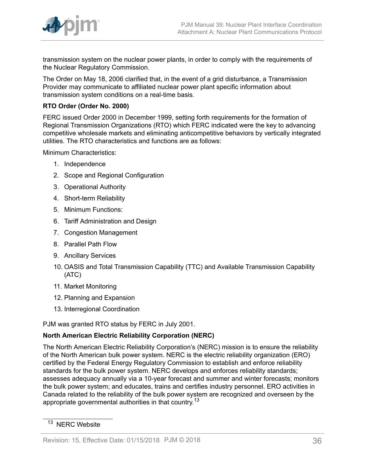

transmission system on the nuclear power plants, in order to comply with the requirements of the Nuclear Regulatory Commission.

The Order on May 18, 2006 clarified that, in the event of a grid disturbance, a Transmission Provider may communicate to affiliated nuclear power plant specific information about transmission system conditions on a real-time basis.

## **RTO Order (Order No. 2000)**

FERC issued Order 2000 in December 1999, setting forth requirements for the formation of Regional Transmission Organizations (RTO) which FERC indicated were the key to advancing competitive wholesale markets and eliminating anticompetitive behaviors by vertically integrated utilities. The RTO characteristics and functions are as follows:

Minimum Characteristics:

- 1. Independence
- 2. Scope and Regional Configuration
- 3. Operational Authority
- 4. Short-term Reliability
- 5. Minimum Functions:
- 6. Tariff Administration and Design
- 7. Congestion Management
- 8. Parallel Path Flow
- 9. Ancillary Services
- 10. OASIS and Total Transmission Capability (TTC) and Available Transmission Capability (ATC)
- 11. Market Monitoring
- 12. Planning and Expansion
- 13. Interregional Coordination

PJM was granted RTO status by FERC in July 2001.

## **North American Electric Reliability Corporation (NERC)**

The North American Electric Reliability Corporation's (NERC) mission is to ensure the reliability of the North American bulk power system. NERC is the electric reliability organization (ERO) certified by the Federal Energy Regulatory Commission to establish and enforce reliability standards for the bulk power system. NERC develops and enforces reliability standards; assesses adequacy annually via a 10-year forecast and summer and winter forecasts; monitors the bulk power system; and educates, trains and certifies industry personnel. ERO activities in Canada related to the reliability of the bulk power system are recognized and overseen by the appropriate governmental authorities in that country.<sup>13</sup>

<sup>&</sup>lt;sup>13</sup> NERC Website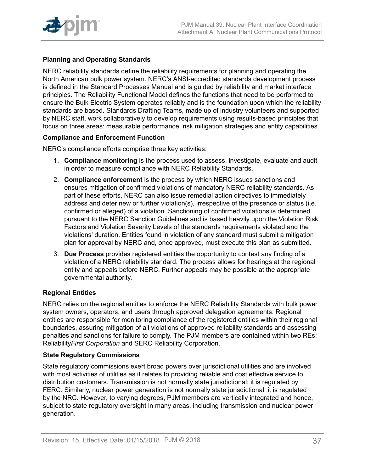

## **Planning and Operating Standards**

NERC reliability standards define the reliability requirements for planning and operating the North American bulk power system. NERC's ANSI-accredited standards development process is defined in the Standard Processes Manual and is guided by reliability and market interface principles. The Reliability Functional Model defines the functions that need to be performed to ensure the Bulk Electric System operates reliably and is the foundation upon which the reliability standards are based. Standards Drafting Teams, made up of industry volunteers and supported by NERC staff, work collaboratively to develop requirements using results-based principles that focus on three areas: measurable performance, risk mitigation strategies and entity capabilities.

## **Compliance and Enforcement Function**

NERC's compliance efforts comprise three key activities:

- 1. **Compliance monitoring** is the process used to assess, investigate, evaluate and audit in order to measure compliance with NERC Reliability Standards.
- 2. **Compliance enforcement** is the process by which NERC issues sanctions and ensures mitigation of confirmed violations of mandatory NERC reliability standards. As part of these efforts, NERC can also issue remedial action directives to immediately address and deter new or further violation(s), irrespective of the presence or status (i.e. confirmed or alleged) of a violation. Sanctioning of confirmed violations is determined pursuant to the NERC Sanction Guidelines and is based heavily upon the Violation Risk Factors and Violation Severity Levels of the standards requirements violated and the violations' duration. Entities found in violation of any standard must submit a mitigation plan for approval by NERC and, once approved, must execute this plan as submitted.
- 3. **Due Process** provides registered entities the opportunity to contest any finding of a violation of a NERC reliability standard. The process allows for hearings at the regional entity and appeals before NERC. Further appeals may be possible at the appropriate governmental authority.

## **Regional Entities**

NERC relies on the regional entities to enforce the NERC Reliability Standards with bulk power system owners, operators, and users through approved delegation agreements. Regional entities are responsible for monitoring compliance of the registered entities within their regional boundaries, assuring mitigation of all violations of approved reliability standards and assessing penalties and sanctions for failure to comply. The PJM members are contained within two REs: Reliability*First Corporation* and SERC Reliability Corporation.

## **State Regulatory Commissions**

State regulatory commissions exert broad powers over jurisdictional utilities and are involved with most activities of utilities as it relates to providing reliable and cost effective service to distribution customers. Transmission is not normally state jurisdictional; it is regulated by FERC. Similarly, nuclear power generation is not normally state jurisdictional; it is regulated by the NRC. However, to varying degrees, PJM members are vertically integrated and hence, subject to state regulatory oversight in many areas, including transmission and nuclear power generation.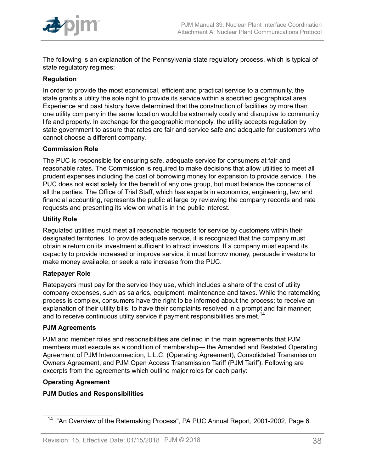

The following is an explanation of the Pennsylvania state regulatory process, which is typical of state regulatory regimes:

## **Regulation**

In order to provide the most economical, efficient and practical service to a community, the state grants a utility the sole right to provide its service within a specified geographical area. Experience and past history have determined that the construction of facilities by more than one utility company in the same location would be extremely costly and disruptive to community life and property. In exchange for the geographic monopoly, the utility accepts regulation by state government to assure that rates are fair and service safe and adequate for customers who cannot choose a different company.

## **Commission Role**

The PUC is responsible for ensuring safe, adequate service for consumers at fair and reasonable rates. The Commission is required to make decisions that allow utilities to meet all prudent expenses including the cost of borrowing money for expansion to provide service. The PUC does not exist solely for the benefit of any one group, but must balance the concerns of all the parties. The Office of Trial Staff, which has experts in economics, engineering, law and financial accounting, represents the public at large by reviewing the company records and rate requests and presenting its view on what is in the public interest.

## **Utility Role**

Regulated utilities must meet all reasonable requests for service by customers within their designated territories. To provide adequate service, it is recognized that the company must obtain a return on its investment sufficient to attract investors. If a company must expand its capacity to provide increased or improve service, it must borrow money, persuade investors to make money available, or seek a rate increase from the PUC.

## **Ratepayer Role**

Ratepayers must pay for the service they use, which includes a share of the cost of utility company expenses, such as salaries, equipment, maintenance and taxes. While the ratemaking process is complex, consumers have the right to be informed about the process; to receive an explanation of their utility bills; to have their complaints resolved in a prompt and fair manner; and to receive continuous utility service if payment responsibilities are met.<sup>14</sup>

## **PJM Agreements**

PJM and member roles and responsibilities are defined in the main agreements that PJM members must execute as a condition of membership— the Amended and Restated Operating Agreement of PJM Interconnection, L.L.C. (Operating Agreement), Consolidated Transmission Owners Agreement, and PJM Open Access Transmission Tariff (PJM Tariff). Following are excerpts from the agreements which outline major roles for each party:

## **Operating Agreement**

## **PJM Duties and Responsibilities**

<sup>&</sup>lt;sup>14</sup> "An Overview of the Ratemaking Process", PA PUC Annual Report, 2001-2002, Page 6.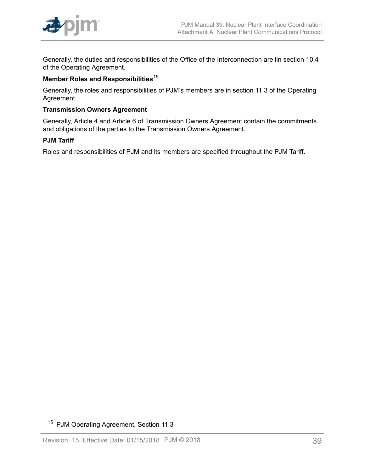

Generally, the duties and responsibilities of the Office of the Interconnection are lin section 10.4 of the Operating Agreement.

## **Member Roles and Responsibilities**<sup>15</sup>

Generally, the roles and responsibilities of PJM's members are in section 11.3 of the Operating Agreement.

## **Transmission Owners Agreement**

Generally, Article 4 and Article 6 of Transmission Owners Agreement contain the commitments and obligations of the parties to the Transmission Owners Agreement.

#### **PJM Tariff**

Roles and responsibilities of PJM and its members are specified throughout the PJM Tariff.

<sup>15</sup> PJM Operating Agreement, Section 11.3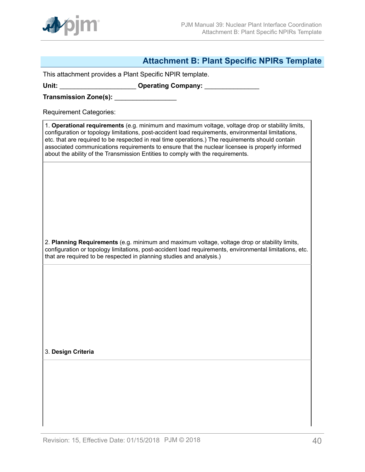

## <span id="page-39-0"></span>**Attachment B: Plant Specific NPIRs Template**

This attachment provides a Plant Specific NPIR template.

Unit: **With Lines and Science Company: Operating Company: Company: Company: Company: Company: Company: Company: Company: Company: Company: Company: Company: Company: Company: Company: Compan** 

**Transmission Zone(s):** \_\_\_\_\_\_\_\_\_\_\_\_\_\_\_\_\_

Requirement Categories:

1. **Operational requirements** (e.g. minimum and maximum voltage, voltage drop or stability limits, configuration or topology limitations, post-accident load requirements, environmental limitations, etc. that are required to be respected in real time operations.) The requirements should contain associated communications requirements to ensure that the nuclear licensee is properly informed about the ability of the Transmission Entities to comply with the requirements.

2. **Planning Requirements** (e.g. minimum and maximum voltage, voltage drop or stability limits, configuration or topology limitations, post-accident load requirements, environmental limitations, etc. that are required to be respected in planning studies and analysis.)

3. **Design Criteria**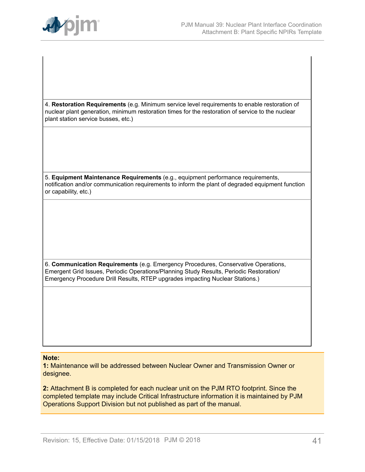

4. **Restoration Requirements** (e.g. Minimum service level requirements to enable restoration of nuclear plant generation, minimum restoration times for the restoration of service to the nuclear plant station service busses, etc.)

5. **Equipment Maintenance Requirements** (e.g., equipment performance requirements, notification and/or communication requirements to inform the plant of degraded equipment function or capability, etc.)

6. **Communication Requirements** (e.g. Emergency Procedures, Conservative Operations, Emergent Grid Issues, Periodic Operations/Planning Study Results, Periodic Restoration/ Emergency Procedure Drill Results, RTEP upgrades impacting Nuclear Stations.)

#### **Note:**

**1:** Maintenance will be addressed between Nuclear Owner and Transmission Owner or designee.

**2:** Attachment B is completed for each nuclear unit on the PJM RTO footprint. Since the completed template may include Critical Infrastructure information it is maintained by PJM Operations Support Division but not published as part of the manual.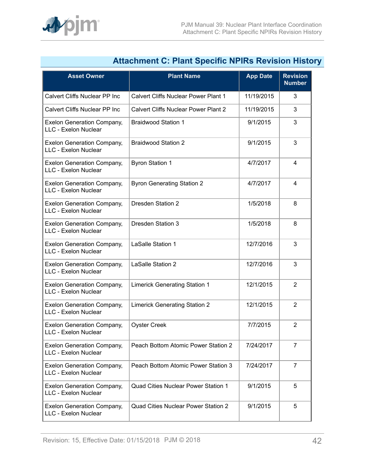|                                                           | <b>Attachment C: Plant Specific NPIRS Revision Histor</b> |                 |                                  |
|-----------------------------------------------------------|-----------------------------------------------------------|-----------------|----------------------------------|
| <b>Asset Owner</b>                                        | <b>Plant Name</b>                                         | <b>App Date</b> | <b>Revision</b><br><b>Number</b> |
| Calvert Cliffs Nuclear PP Inc                             | Calvert Cliffs Nuclear Power Plant 1                      | 11/19/2015      | 3                                |
| Calvert Cliffs Nuclear PP Inc                             | <b>Calvert Cliffs Nuclear Power Plant 2</b>               | 11/19/2015      | 3                                |
| <b>Exelon Generation Company,</b><br>LLC - Exelon Nuclear | <b>Braidwood Station 1</b>                                | 9/1/2015        | 3                                |
| <b>Exelon Generation Company,</b><br>LLC - Exelon Nuclear | <b>Braidwood Station 2</b>                                | 9/1/2015        | 3                                |
| <b>Exelon Generation Company,</b><br>LLC - Exelon Nuclear | <b>Byron Station 1</b>                                    | 4/7/2017        | $\overline{\mathbf{4}}$          |
| <b>Exelon Generation Company,</b><br>LLC - Exelon Nuclear | <b>Byron Generating Station 2</b>                         | 4/7/2017        | $\overline{4}$                   |
| <b>Exelon Generation Company,</b><br>LLC - Exelon Nuclear | <b>Dresden Station 2</b>                                  | 1/5/2018        | 8                                |
| <b>Exelon Generation Company,</b><br>LLC - Exelon Nuclear | <b>Dresden Station 3</b>                                  | 1/5/2018        | 8                                |
| <b>Exelon Generation Company,</b><br>LLC - Exelon Nuclear | LaSalle Station 1                                         | 12/7/2016       | 3                                |
| <b>Exelon Generation Company,</b><br>LLC - Exelon Nuclear | LaSalle Station 2                                         | 12/7/2016       | 3                                |
| <b>Exelon Generation Company,</b><br>LLC - Exelon Nuclear | <b>Limerick Generating Station 1</b>                      | 12/1/2015       | $\overline{2}$                   |
| <b>Exelon Generation Company,</b><br>LLC - Exelon Nuclear | <b>Limerick Generating Station 2</b>                      | 12/1/2015       | $\overline{2}$                   |
| <b>Exelon Generation Company,</b><br>LLC - Exelon Nuclear | <b>Oyster Creek</b>                                       | 7/7/2015        | 2                                |
| <b>Exelon Generation Company,</b><br>LLC - Exelon Nuclear | Peach Bottom Atomic Power Station 2                       | 7/24/2017       | $\overline{7}$                   |
| <b>Exelon Generation Company,</b><br>LLC - Exelon Nuclear | Peach Bottom Atomic Power Station 3                       | 7/24/2017       | $\overline{7}$                   |
| <b>Exelon Generation Company,</b><br>LLC - Exelon Nuclear | Quad Cities Nuclear Power Station 1                       | 9/1/2015        | 5                                |
| <b>Exelon Generation Company,</b><br>LLC - Exelon Nuclear | Quad Cities Nuclear Power Station 2                       | 9/1/2015        | 5                                |

## <span id="page-41-0"></span>**Attachment C: Plant Specific NPIRs Revision History**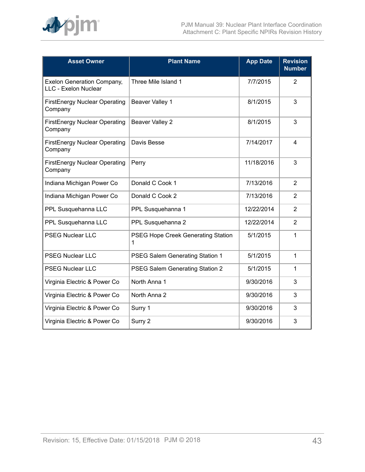

| <b>Asset Owner</b>                                        | <b>Plant Name</b>                       | <b>App Date</b> | <b>Revision</b><br><b>Number</b> |
|-----------------------------------------------------------|-----------------------------------------|-----------------|----------------------------------|
| <b>Exelon Generation Company,</b><br>LLC - Exelon Nuclear | Three Mile Island 1                     | 7/7/2015        | $\overline{2}$                   |
| FirstEnergy Nuclear Operating<br>Company                  | Beaver Valley 1                         | 8/1/2015        | 3                                |
| <b>FirstEnergy Nuclear Operating</b><br>Company           | <b>Beaver Valley 2</b>                  | 8/1/2015        | 3                                |
| <b>FirstEnergy Nuclear Operating</b><br>Company           | Davis Besse                             | 7/14/2017       | 4                                |
| <b>FirstEnergy Nuclear Operating</b><br>Company           | Perry                                   | 11/18/2016      | 3                                |
| Indiana Michigan Power Co                                 | Donald C Cook 1                         | 7/13/2016       | 2                                |
| Indiana Michigan Power Co                                 | Donald C Cook 2                         | 7/13/2016       | $\overline{2}$                   |
| PPL Susquehanna LLC                                       | PPL Susquehanna 1                       | 12/22/2014      | $\overline{2}$                   |
| PPL Susquehanna LLC                                       | PPL Susquehanna 2                       | 12/22/2014      | 2                                |
| <b>PSEG Nuclear LLC</b>                                   | PSEG Hope Creek Generating Station<br>1 | 5/1/2015        | 1                                |
| <b>PSEG Nuclear LLC</b>                                   | PSEG Salem Generating Station 1         | 5/1/2015        | 1                                |
| <b>PSEG Nuclear LLC</b>                                   | PSEG Salem Generating Station 2         | 5/1/2015        | 1                                |
| Virginia Electric & Power Co                              | North Anna 1                            | 9/30/2016       | 3                                |
| Virginia Electric & Power Co                              | North Anna 2                            | 9/30/2016       | 3                                |
| Virginia Electric & Power Co                              | Surry 1                                 | 9/30/2016       | 3                                |
| Virginia Electric & Power Co                              | Surry 2                                 | 9/30/2016       | 3                                |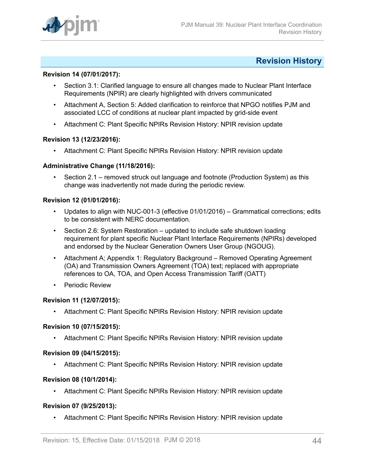

## <span id="page-43-0"></span>**Revision History**

### **Revision 14 (07/01/2017):**

- Section 3.1: Clarified language to ensure all changes made to Nuclear Plant Interface Requirements (NPIR) are clearly highlighted with drivers communicated
- Attachment A, Section 5: Added clarification to reinforce that NPGO notifies PJM and associated LCC of conditions at nuclear plant impacted by grid-side event
- Attachment C: Plant Specific NPIRs Revision History: NPIR revision update

#### **Revision 13 (12/23/2016):**

• Attachment C: Plant Specific NPIRs Revision History: NPIR revision update

#### **Administrative Change (11/18/2016):**

• Section 2.1 – removed struck out language and footnote (Production System) as this change was inadvertently not made during the periodic review.

#### **Revision 12 (01/01/2016):**

- Updates to align with NUC-001-3 (effective 01/01/2016) Grammatical corrections; edits to be consistent with NERC documentation.
- Section 2.6: System Restoration updated to include safe shutdown loading requirement for plant specific Nuclear Plant Interface Requirements (NPIRs) developed and endorsed by the Nuclear Generation Owners User Group (NGOUG).
- Attachment A; Appendix 1: Regulatory Background Removed Operating Agreement (OA) and Transmission Owners Agreement (TOA) text; replaced with appropriate references to OA, TOA, and Open Access Transmission Tariff (OATT)
- Periodic Review

#### **Revision 11 (12/07/2015):**

• Attachment C: Plant Specific NPIRs Revision History: NPIR revision update

#### **Revision 10 (07/15/2015):**

• Attachment C: Plant Specific NPIRs Revision History: NPIR revision update

#### **Revision 09 (04/15/2015):**

• Attachment C: Plant Specific NPIRs Revision History: NPIR revision update

#### **Revision 08 (10/1/2014):**

• Attachment C: Plant Specific NPIRs Revision History: NPIR revision update

#### **Revision 07 (9/25/2013):**

• Attachment C: Plant Specific NPIRs Revision History: NPIR revision update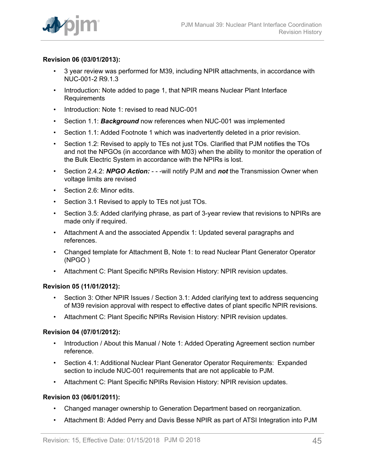

## **Revision 06 (03/01/2013):**

- 3 year review was performed for M39, including NPIR attachments, in accordance with NUC-001-2 R9.1.3
- Introduction: Note added to page 1, that NPIR means Nuclear Plant Interface Requirements
- Introduction: Note 1: revised to read NUC-001
- Section 1.1: *Background* now references when NUC-001 was implemented
- Section 1.1: Added Footnote 1 which was inadvertently deleted in a prior revision.
- Section 1.2: Revised to apply to TEs not just TOs. Clarified that PJM notifies the TOs and not the NPGOs (in accordance with M03) when the ability to monitor the operation of the Bulk Electric System in accordance with the NPIRs is lost.
- Section 2.4.2: *NPGO Action:*  - -will notify PJM and *not* the Transmission Owner when voltage limits are revised
- Section 2.6: Minor edits.
- Section 3.1 Revised to apply to TEs not just TOs.
- Section 3.5: Added clarifying phrase, as part of 3-year review that revisions to NPIRs are made only if required.
- Attachment A and the associated Appendix 1: Updated several paragraphs and references.
- Changed template for Attachment B, Note 1: to read Nuclear Plant Generator Operator (NPGO )
- Attachment C: Plant Specific NPIRs Revision History: NPIR revision updates.

## **Revision 05 (11/01/2012):**

- Section 3: Other NPIR Issues / Section 3.1: Added clarifying text to address sequencing of M39 revision approval with respect to effective dates of plant specific NPIR revisions.
- Attachment C: Plant Specific NPIRs Revision History: NPIR revision updates.

## **Revision 04 (07/01/2012):**

- Introduction / About this Manual / Note 1: Added Operating Agreement section number reference.
- Section 4.1: Additional Nuclear Plant Generator Operator Requirements: Expanded section to include NUC-001 requirements that are not applicable to PJM.
- Attachment C: Plant Specific NPIRs Revision History: NPIR revision updates.

#### **Revision 03 (06/01/2011):**

- Changed manager ownership to Generation Department based on reorganization.
- Attachment B: Added Perry and Davis Besse NPIR as part of ATSI Integration into PJM